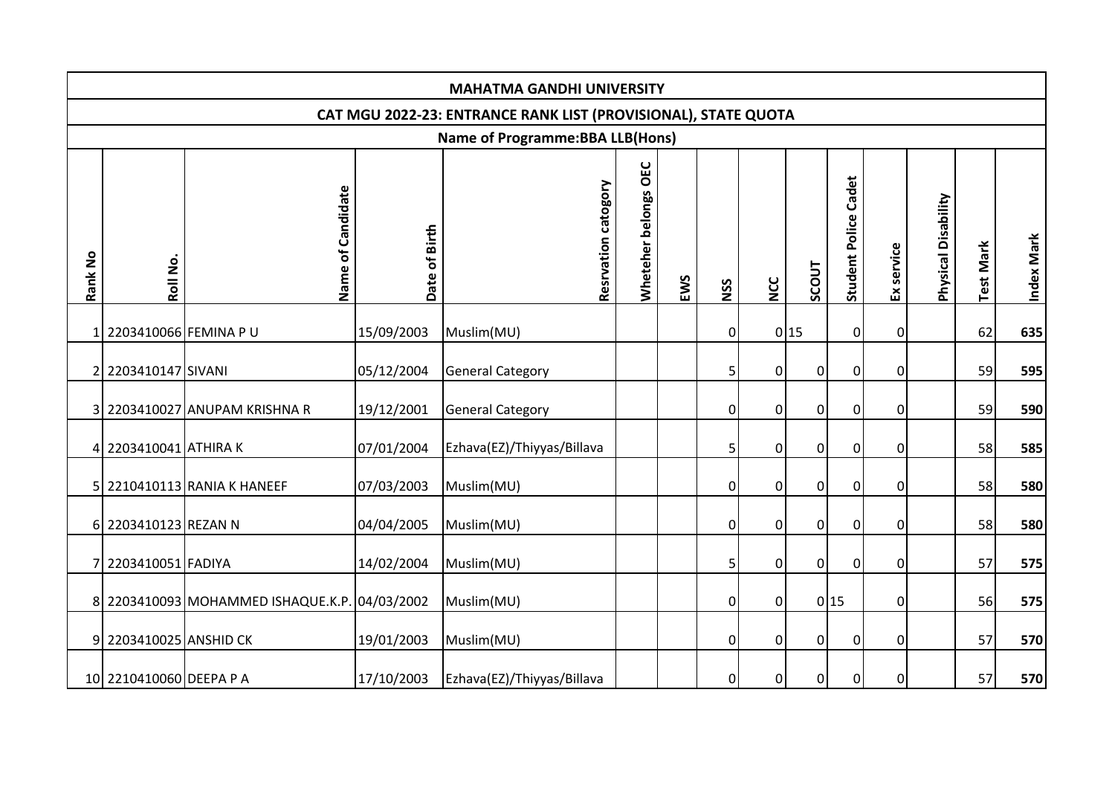|         |                         |                                               |               | <b>MAHATMA GANDHI UNIVERSITY</b>                               |                      |     |                |                |                |                             |                |                     |                  |            |
|---------|-------------------------|-----------------------------------------------|---------------|----------------------------------------------------------------|----------------------|-----|----------------|----------------|----------------|-----------------------------|----------------|---------------------|------------------|------------|
|         |                         |                                               |               | CAT MGU 2022-23: ENTRANCE RANK LIST (PROVISIONAL), STATE QUOTA |                      |     |                |                |                |                             |                |                     |                  |            |
|         |                         |                                               |               | <b>Name of Programme: BBA LLB(Hons)</b>                        |                      |     |                |                |                |                             |                |                     |                  |            |
| Rank No | Roll No.                | of Candidate<br>Name                          | Date of Birth | catogory<br>Resrvation                                         | Wheteher belongs OEC | EWS | NSS            | <b>NCC</b>     | SCOUT          | <b>Student Police Cadet</b> | Ex service     | Physical Disability | <b>Test Mark</b> | Index Mark |
|         | 1 2203410066 FEMINA P U |                                               | 15/09/2003    | Muslim(MU)                                                     |                      |     | $\mathbf 0$    |                | 0 15           | $\mathbf 0$                 | $\mathbf 0$    |                     | 62               | 635        |
|         | 2203410147 SIVANI       |                                               | 05/12/2004    | <b>General Category</b>                                        |                      |     | 5              | $\overline{0}$ | 0              | $\mathbf 0$                 | $\mathbf 0$    |                     | 59               | 595        |
|         |                         | 3 2203410027 ANUPAM KRISHNA R                 | 19/12/2001    | <b>General Category</b>                                        |                      |     | $\mathbf 0$    | $\overline{0}$ | $\overline{0}$ | $\mathbf 0$                 | $\mathbf 0$    |                     | 59               | 590        |
|         | 4 2203410041 ATHIRA K   |                                               | 07/01/2004    | Ezhava(EZ)/Thiyyas/Billava                                     |                      |     | 5              | $\overline{0}$ | $\mathbf 0$    | $\mathbf 0$                 | $\overline{0}$ |                     | 58               | 585        |
|         |                         | 5 2210410113 RANIA K HANEEF                   | 07/03/2003    | Muslim(MU)                                                     |                      |     | $\mathbf 0$    | $\overline{0}$ | 0              | $\mathbf 0$                 | $\mathbf 0$    |                     | 58               | 580        |
|         | 6 2203410123 REZAN N    |                                               | 04/04/2005    | Muslim(MU)                                                     |                      |     | $\mathbf 0$    | $\overline{0}$ | 0              | $\mathbf 0$                 | 0              |                     | 58               | 580        |
|         | 7 2203410051 FADIYA     |                                               | 14/02/2004    | Muslim(MU)                                                     |                      |     | 5              | $\overline{0}$ | $\Omega$       | $\mathbf 0$                 | 0              |                     | 57               | 575        |
|         |                         | 8 2203410093 MOHAMMED ISHAQUE.K.P. 04/03/2002 |               | Muslim(MU)                                                     |                      |     | $\mathbf 0$    | $\overline{0}$ |                | 0 15                        | $\mathbf 0$    |                     | 56               | 575        |
|         | 9 2203410025 ANSHID CK  |                                               | 19/01/2003    | Muslim(MU)                                                     |                      |     | $\mathbf 0$    | $\overline{0}$ | 0              | 0                           | 0              |                     | 57               | 570        |
|         | 10 2210410060 DEEPA P A |                                               | 17/10/2003    | Ezhava(EZ)/Thiyyas/Billava                                     |                      |     | $\overline{0}$ | $\overline{0}$ | $\overline{0}$ | $\mathbf 0$                 | $\mathbf 0$    |                     | 57               | 570        |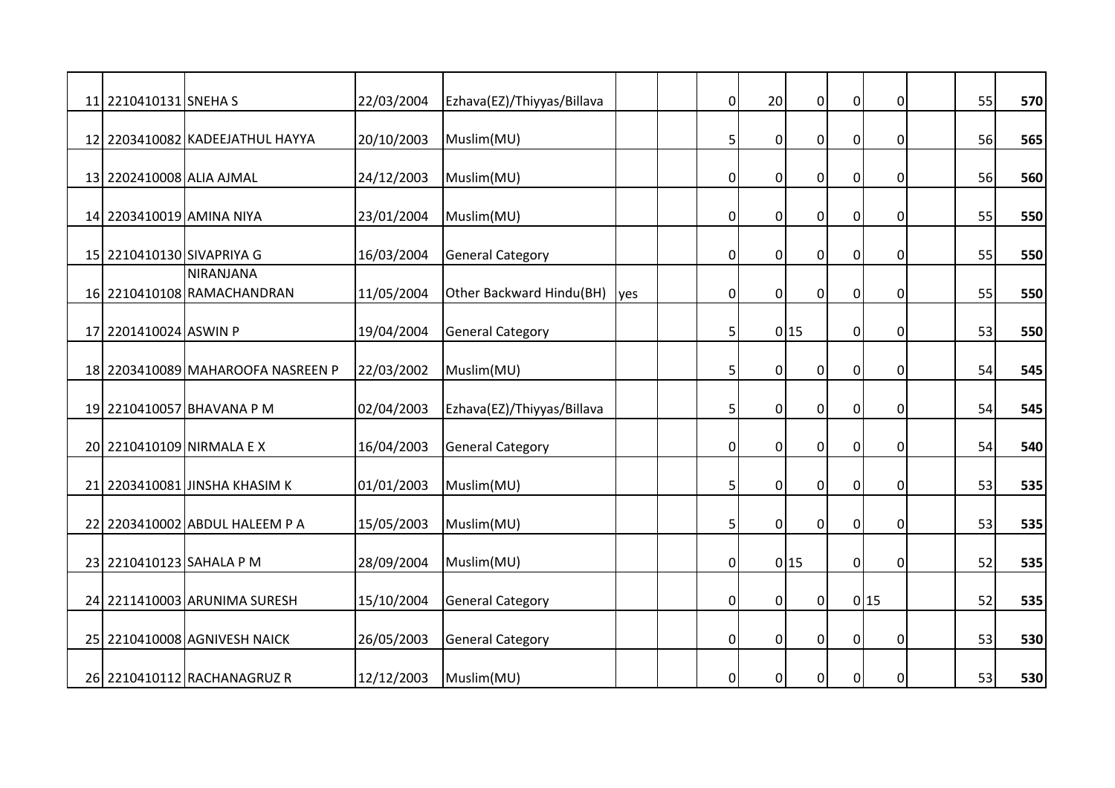| 11 2210410131 SNEHA S     |                                   | 22/03/2004 | Ezhava(EZ)/Thiyyas/Billava |      | $\overline{0}$ | 20             | $\overline{0}$ | $\pmb{0}$        | $\mathbf 0$ | 55 | 570 |
|---------------------------|-----------------------------------|------------|----------------------------|------|----------------|----------------|----------------|------------------|-------------|----|-----|
|                           |                                   |            |                            |      |                |                |                |                  |             |    |     |
|                           | 12 2203410082 KADEEJATHUL HAYYA   | 20/10/2003 | Muslim(MU)                 |      | 5              | $\mathbf 0$    | $\overline{0}$ | $\overline{0}$   | $\mathbf 0$ | 56 | 565 |
|                           |                                   |            |                            |      |                |                |                |                  |             |    |     |
| 13 2202410008 ALIA AJMAL  |                                   | 24/12/2003 | Muslim(MU)                 |      | $\overline{0}$ | $\mathbf 0$    | $\overline{0}$ | $\pmb{0}$        | $\Omega$    | 56 | 560 |
| 14 2203410019 AMINA NIYA  |                                   | 23/01/2004 | Muslim(MU)                 |      | $\overline{0}$ | $\mathbf 0$    | $\overline{0}$ | $\pmb{0}$        | 0           | 55 | 550 |
| 15 2210410130 SIVAPRIYA G |                                   | 16/03/2004 | <b>General Category</b>    |      | 0              | $\mathbf 0$    | $\overline{0}$ | $\pmb{0}$        | $\mathbf 0$ | 55 | 550 |
|                           | NIRANJANA                         |            |                            |      |                |                |                |                  |             |    |     |
|                           | 16 2210410108 RAMACHANDRAN        | 11/05/2004 | Other Backward Hindu(BH)   | lyes | $\overline{0}$ | $\mathbf{0}$   | $\overline{0}$ | $\overline{0}$   | 0           | 55 | 550 |
|                           |                                   | 19/04/2004 |                            |      |                |                | 0 15           | $\overline{0}$   |             | 53 |     |
| 17 2201410024 ASWIN P     |                                   |            | <b>General Category</b>    |      | 5              |                |                |                  | 0           |    | 550 |
|                           | 18 2203410089 MAHAROOFA NASREEN P | 22/03/2002 | Muslim(MU)                 |      | 5              | $\mathbf 0$    | $\overline{0}$ | $\mathbf 0$      | $\mathbf 0$ | 54 | 545 |
|                           | 19 2210410057 BHAVANA P M         | 02/04/2003 | Ezhava(EZ)/Thiyyas/Billava |      | 5              | $\overline{0}$ | $\overline{0}$ | $\overline{0}$   | $\Omega$    | 54 | 545 |
|                           | 20 2210410109 NIRMALA EX          | 16/04/2003 | <b>General Category</b>    |      | $\overline{0}$ | $\mathbf 0$    | $\overline{0}$ | $\overline{0}$   | 0           | 54 | 540 |
|                           | 21 2203410081 JINSHA KHASIM K     | 01/01/2003 | Muslim(MU)                 |      | 5              | $\mathbf 0$    | $\overline{0}$ | $\boldsymbol{0}$ | $\mathbf 0$ | 53 | 535 |
|                           |                                   |            |                            |      |                |                |                |                  |             |    |     |
|                           | 22 2203410002 ABDUL HALEEM P A    | 15/05/2003 | Muslim(MU)                 |      | 5              | $\overline{0}$ | $\overline{0}$ | $\mathbf 0$      | $\Omega$    | 53 | 535 |
| 23 2210410123 SAHALA P M  |                                   | 28/09/2004 | Muslim(MU)                 |      | $\overline{0}$ |                | 0 15           | $\overline{0}$   | $\mathbf 0$ | 52 | 535 |
|                           | 24 2211410003 ARUNIMA SURESH      | 15/10/2004 | <b>General Category</b>    |      | $\overline{0}$ | $\mathbf 0$    | $\overline{0}$ |                  | 0 15        | 52 | 535 |
|                           |                                   |            |                            |      |                |                |                |                  |             |    |     |
|                           | 25 2210410008 AGNIVESH NAICK      | 26/05/2003 | <b>General Category</b>    |      | $\overline{0}$ | $\mathbf{0}$   | $\Omega$       | $\pmb{0}$        | $\Omega$    | 53 | 530 |
|                           | 26 2210410112 RACHANAGRUZ R       | 12/12/2003 | Muslim(MU)                 |      | $\overline{0}$ | $\overline{0}$ | $\overline{0}$ | $\overline{0}$   | $\mathbf 0$ | 53 | 530 |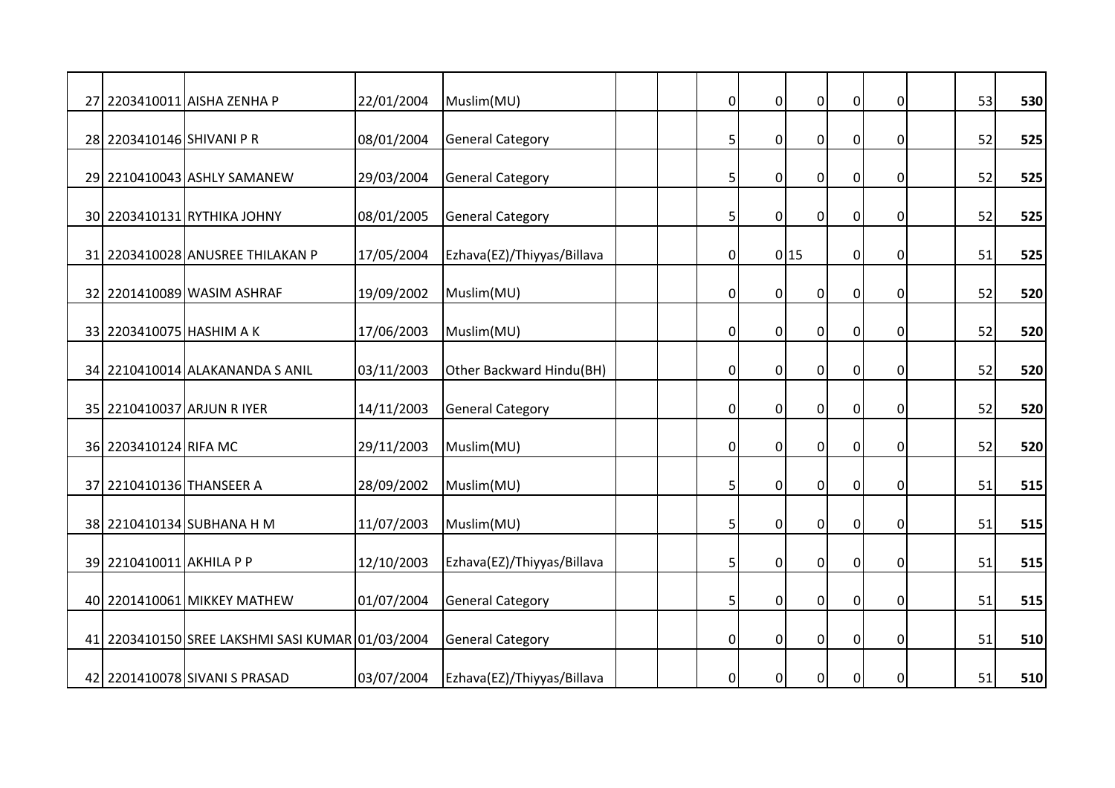|                           | 27 2203410011 AISHA ZENHA P                      | 22/01/2004 | Muslim(MU)                 | $\overline{0}$ | $\mathbf 0$    | $\overline{0}$   | $\mathbf 0$    | 0                | 53 | 530 |
|---------------------------|--------------------------------------------------|------------|----------------------------|----------------|----------------|------------------|----------------|------------------|----|-----|
| 28 2203410146 SHIVANI P R |                                                  | 08/01/2004 | <b>General Category</b>    | 5              | $\overline{0}$ | $\overline{0}$   | $\overline{0}$ | $\mathbf 0$      | 52 | 525 |
|                           | 29 2210410043 ASHLY SAMANEW                      | 29/03/2004 | <b>General Category</b>    | 5              | $\mathbf 0$    | $\overline{0}$   | $\overline{0}$ | 0                | 52 | 525 |
|                           | 30 2203410131 RYTHIKA JOHNY                      | 08/01/2005 | <b>General Category</b>    | 5              | $\mathbf 0$    | $\overline{0}$   | $\pmb{0}$      | $\mathbf 0$      | 52 | 525 |
|                           | 31 2203410028 ANUSREE THILAKAN P                 | 17/05/2004 | Ezhava(EZ)/Thiyyas/Billava | $\overline{0}$ |                | 0 15             | $\overline{0}$ | $\mathbf 0$      | 51 | 525 |
|                           | 32 2201410089 WASIM ASHRAF                       | 19/09/2002 | Muslim(MU)                 | $\overline{0}$ | $\overline{0}$ | $\overline{0}$   | $\overline{0}$ | $\mathbf 0$      | 52 | 520 |
| 33 2203410075 HASHIM A K  |                                                  | 17/06/2003 | Muslim(MU)                 | $\overline{0}$ | $\mathbf 0$    | $\overline{0}$   | $\overline{0}$ | 0                | 52 | 520 |
|                           | 34 2210410014 ALAKANANDA S ANIL                  | 03/11/2003 | Other Backward Hindu(BH)   | 0              | $\mathbf 0$    | $\boldsymbol{0}$ | $\overline{0}$ | $\boldsymbol{0}$ | 52 | 520 |
|                           | 35 2210410037 ARJUN R IYER                       | 14/11/2003 | <b>General Category</b>    | $\overline{0}$ | $\overline{0}$ | $\overline{0}$   | $\pmb{0}$      | $\mathbf 0$      | 52 | 520 |
| 36 2203410124 RIFA MC     |                                                  | 29/11/2003 | Muslim(MU)                 | $\overline{0}$ | $\overline{0}$ | $\overline{0}$   | $\overline{0}$ | $\mathbf 0$      | 52 | 520 |
| 37 2210410136 THANSEER A  |                                                  | 28/09/2002 | Muslim(MU)                 | 5              | $\overline{0}$ | 0                | $\overline{0}$ | $\boldsymbol{0}$ | 51 | 515 |
|                           | 38 2210410134 SUBHANA H M                        | 11/07/2003 | Muslim(MU)                 | 5              | $\mathbf 0$    | $\overline{0}$   | $\mathbf 0$    | $\mathbf 0$      | 51 | 515 |
| 39 2210410011 AKHILA P P  |                                                  | 12/10/2003 | Ezhava(EZ)/Thiyyas/Billava | 5              | $\mathbf 0$    | $\mathbf 0$      | $\mathbf 0$    | 0                | 51 | 515 |
|                           | 40 2201410061 MIKKEY MATHEW                      | 01/07/2004 | <b>General Category</b>    | 5              | $\overline{0}$ | $\overline{0}$   | $\overline{0}$ | $\mathbf 0$      | 51 | 515 |
|                           | 41 2203410150 SREE LAKSHMI SASI KUMAR 01/03/2004 |            | <b>General Category</b>    | $\overline{0}$ | $\mathbf{0}$   | $\overline{0}$   | $\mathbf 0$    | $\mathbf 0$      | 51 | 510 |
|                           | 42 2201410078 SIVANI S PRASAD                    | 03/07/2004 | Ezhava(EZ)/Thiyyas/Billava | $\overline{0}$ | $\mathbf 0$    | $\overline{0}$   | $\mathbf 0$    | $\mathbf 0$      | 51 | 510 |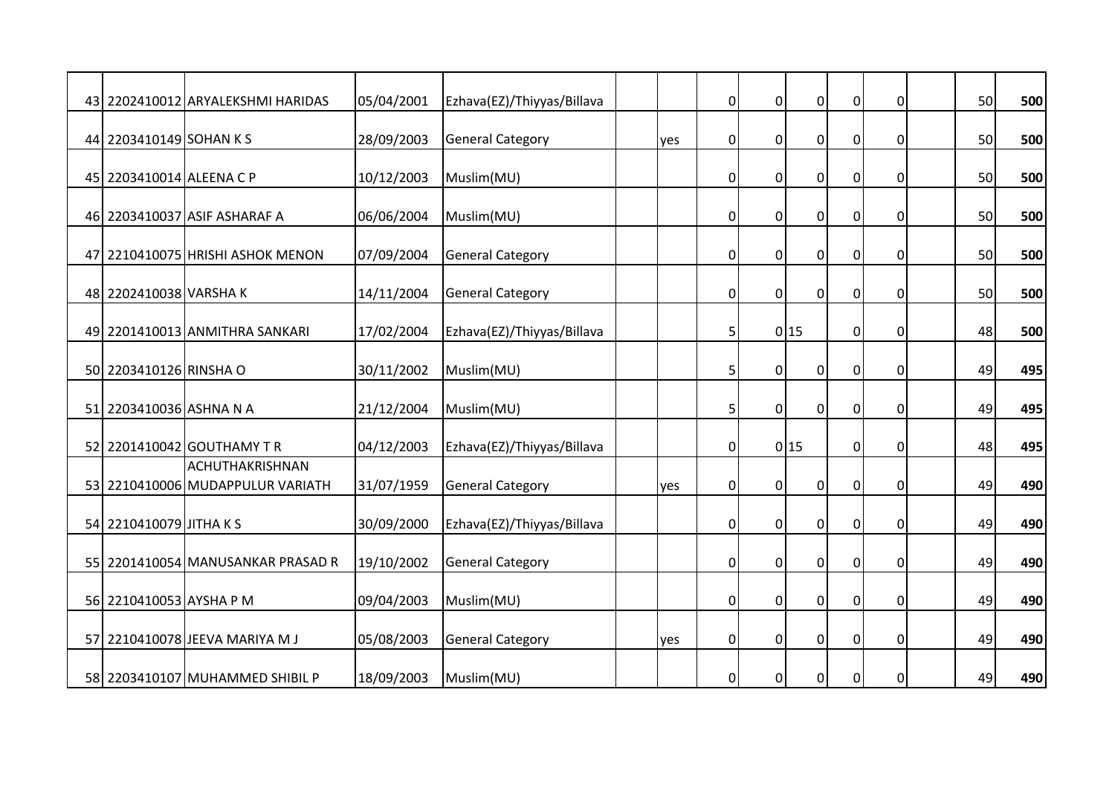|                          | 43 2202410012 ARYALEKSHMI HARIDAS | 05/04/2001 | Ezhava(EZ)/Thiyyas/Billava |     | $\overline{0}$ | $\overline{0}$ | $\overline{0}$   | $\mathbf 0$    | $\mathbf 0$      | 50 | 500 |
|--------------------------|-----------------------------------|------------|----------------------------|-----|----------------|----------------|------------------|----------------|------------------|----|-----|
|                          |                                   |            |                            |     |                |                |                  |                |                  |    |     |
| 44 2203410149 SOHAN K S  |                                   | 28/09/2003 | <b>General Category</b>    | yes | $\overline{0}$ | $\mathbf 0$    | $\overline{0}$   | $\overline{0}$ | $\mathbf 0$      | 50 | 500 |
|                          |                                   |            |                            |     |                |                |                  |                |                  |    |     |
| 45 2203410014 ALEENA C P |                                   | 10/12/2003 | Muslim(MU)                 |     | 0              | $\mathbf 0$    | $\overline{0}$   | $\mathbf 0$    | 0                | 50 | 500 |
|                          | 46 2203410037 ASIF ASHARAF A      | 06/06/2004 | Muslim(MU)                 |     | 0              | $\mathbf 0$    | $\boldsymbol{0}$ | $\overline{0}$ | 0                | 50 | 500 |
|                          | 47 2210410075 HRISHI ASHOK MENON  | 07/09/2004 | <b>General Category</b>    |     | 0              | $\mathbf 0$    | $\mathbf 0$      | $\pmb{0}$      | 0                | 50 | 500 |
|                          |                                   |            |                            |     |                |                |                  |                |                  |    |     |
| 48 2202410038 VARSHAK    |                                   | 14/11/2004 | <b>General Category</b>    |     | $\overline{0}$ | $\mathbf 0$    | $\overline{0}$   | $\overline{0}$ | $\mathbf 0$      | 50 | 500 |
|                          | 49 2201410013 ANMITHRA SANKARI    | 17/02/2004 | Ezhava(EZ)/Thiyyas/Billava |     | 5              |                | 0 15             | $\pmb{0}$      | 0                | 48 | 500 |
|                          |                                   |            |                            |     |                |                |                  |                |                  |    |     |
| 50 2203410126 RINSHA O   |                                   | 30/11/2002 | Muslim(MU)                 |     | 5              | $\mathbf 0$    | 0                | $\pmb{0}$      | 0                | 49 | 495 |
| 51 2203410036 ASHNA N A  |                                   | 21/12/2004 | Muslim(MU)                 |     | 5              | $\overline{0}$ | $\overline{0}$   | $\overline{0}$ | $\mathbf 0$      | 49 | 495 |
|                          |                                   |            |                            |     |                |                |                  |                |                  |    |     |
|                          | 52 2201410042 GOUTHAMY TR         | 04/12/2003 | Ezhava(EZ)/Thiyyas/Billava |     | $\overline{0}$ |                | 0 15             | $\overline{0}$ | 0                | 48 | 495 |
|                          | ACHUTHAKRISHNAN                   |            |                            |     |                |                |                  |                |                  |    |     |
|                          | 53 2210410006 MUDAPPULUR VARIATH  | 31/07/1959 | <b>General Category</b>    | yes | 0              | $\mathbf 0$    | 0                | $\pmb{0}$      | $\boldsymbol{0}$ | 49 | 490 |
| 54 2210410079 JITHA K S  |                                   | 30/09/2000 | Ezhava(EZ)/Thiyyas/Billava |     | $\overline{0}$ | $\overline{0}$ | $\overline{0}$   | $\overline{0}$ | 0                | 49 | 490 |
|                          |                                   |            |                            |     |                |                |                  |                |                  |    |     |
|                          | 55 2201410054 MANUSANKAR PRASAD R | 19/10/2002 | <b>General Category</b>    |     | $\overline{0}$ | $\mathbf 0$    | $\overline{0}$   | $\overline{0}$ | $\mathbf 0$      | 49 | 490 |
| 56 2210410053 AYSHA P M  |                                   | 09/04/2003 | Muslim(MU)                 |     | $\overline{0}$ | $\mathbf 0$    | $\boldsymbol{0}$ | $\overline{0}$ | $\mathbf 0$      | 49 | 490 |
|                          |                                   |            |                            |     |                |                |                  |                |                  |    |     |
|                          | 57 2210410078 JEEVA MARIYA M J    | 05/08/2003 | <b>General Category</b>    | yes | $\overline{0}$ | $\mathbf 0$    | $\mathbf 0$      | $\overline{0}$ | 0                | 49 | 490 |
|                          | 58 2203410107 MUHAMMED SHIBIL P   | 18/09/2003 | Muslim(MU)                 |     | 0              | $\mathbf 0$    | $\boldsymbol{0}$ | $\pmb{0}$      | $\mathbf 0$      | 49 | 490 |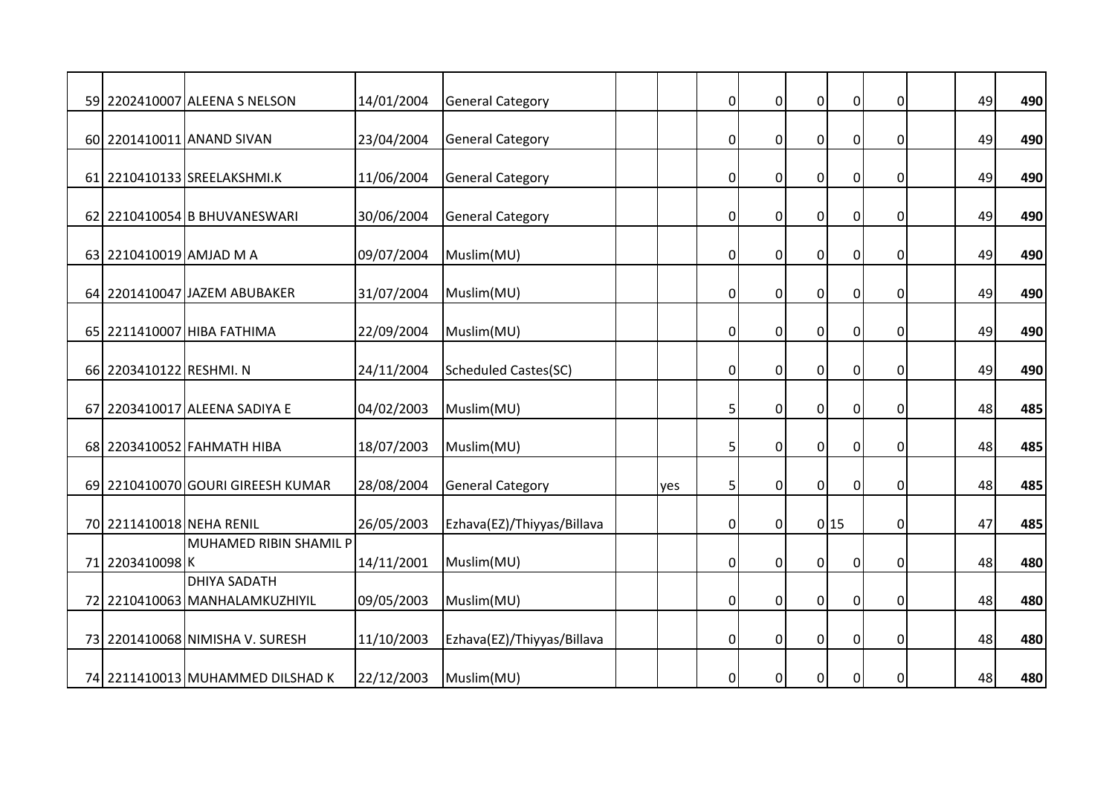|                          | 59 2202410007 ALEENA S NELSON     | 14/01/2004 | <b>General Category</b>     |     | $\overline{0}$ | $\mathbf 0$    | $\boldsymbol{0}$ | $\pmb{0}$      | 0           | 49 | 490 |
|--------------------------|-----------------------------------|------------|-----------------------------|-----|----------------|----------------|------------------|----------------|-------------|----|-----|
|                          |                                   |            |                             |     |                |                |                  |                |             |    |     |
|                          | 60 2201410011 ANAND SIVAN         | 23/04/2004 | <b>General Category</b>     |     | 0              | $\mathbf 0$    | $\overline{0}$   | $\overline{0}$ | $\mathbf 0$ | 49 | 490 |
|                          |                                   |            |                             |     |                |                |                  |                |             |    |     |
|                          | 61 2210410133 SREELAKSHMI.K       | 11/06/2004 | <b>General Category</b>     |     | 0              | $\mathbf 0$    | $\mathbf 0$      | $\pmb{0}$      | $\mathbf 0$ | 49 | 490 |
|                          | 62 2210410054 B BHUVANESWARI      | 30/06/2004 | <b>General Category</b>     |     | $\overline{0}$ | $\mathbf 0$    | $\overline{0}$   | $\mathbf 0$    | 0           | 49 | 490 |
|                          |                                   |            |                             |     |                |                |                  |                |             |    |     |
| 63 2210410019 AMJAD M A  |                                   | 09/07/2004 | Muslim(MU)                  |     | $\overline{0}$ | $\mathbf 0$    | $\mathbf 0$      | $\pmb{0}$      | $\Omega$    | 49 | 490 |
|                          | 64 2201410047 JAZEM ABUBAKER      | 31/07/2004 | Muslim(MU)                  |     | $\overline{0}$ | $\mathbf 0$    | $\overline{0}$   | $\mathbf 0$    | $\mathbf 0$ | 49 | 490 |
|                          |                                   |            |                             |     |                |                |                  |                |             |    |     |
|                          | 65 2211410007 HIBA FATHIMA        | 22/09/2004 | Muslim(MU)                  |     | 0              | $\mathbf 0$    | $\overline{0}$   | $\pmb{0}$      | 0           | 49 | 490 |
|                          |                                   |            |                             |     |                |                |                  |                |             |    |     |
| 66 2203410122 RESHMI. N  |                                   | 24/11/2004 | <b>Scheduled Castes(SC)</b> |     | $\overline{0}$ | $\mathbf 0$    | $\overline{0}$   | $\pmb{0}$      | $\mathbf 0$ | 49 | 490 |
|                          | 67 2203410017 ALEENA SADIYA E     | 04/02/2003 | Muslim(MU)                  |     | 5              | $\overline{0}$ | $\overline{0}$   | $\mathbf 0$    | $\Omega$    | 48 | 485 |
|                          |                                   |            |                             |     |                |                |                  |                |             |    |     |
|                          | 68 2203410052 FAHMATH HIBA        | 18/07/2003 | Muslim(MU)                  |     | 5              | $\mathbf 0$    | $\overline{0}$   | $\mathbf 0$    | 0           | 48 | 485 |
|                          |                                   |            |                             |     |                |                |                  |                |             |    |     |
|                          | 69 2210410070 GOURI GIREESH KUMAR | 28/08/2004 | <b>General Category</b>     | yes | 5              | $\mathbf 0$    | $\boldsymbol{0}$ | $\mathbf 0$    | $\mathbf 0$ | 48 | 485 |
| 70 2211410018 NEHA RENIL |                                   | 26/05/2003 | Ezhava(EZ)/Thiyyas/Billava  |     | $\overline{0}$ | $\overline{0}$ |                  | 0 15           | $\mathbf 0$ | 47 | 485 |
|                          | MUHAMED RIBIN SHAMIL P            |            |                             |     |                |                |                  |                |             |    |     |
| 71 2203410098 K          |                                   | 14/11/2001 | Muslim(MU)                  |     | $\overline{0}$ | $\mathbf 0$    | $\overline{0}$   | $\mathbf 0$    | $\mathbf 0$ | 48 | 480 |
|                          | <b>DHIYA SADATH</b>               |            |                             |     |                |                |                  |                |             |    |     |
|                          | 72 2210410063 MANHALAMKUZHIYIL    | 09/05/2003 | Muslim(MU)                  |     | $\overline{0}$ | $\mathbf 0$    | $\pmb{0}$        | $\overline{0}$ | $\mathbf 0$ | 48 | 480 |
|                          | 73 2201410068 NIMISHA V. SURESH   | 11/10/2003 | Ezhava(EZ)/Thiyyas/Billava  |     | 0              | $\mathbf 0$    | $\mathbf 0$      | $\pmb{0}$      | 0           | 48 | 480 |
|                          |                                   |            |                             |     |                |                |                  |                |             |    |     |
|                          | 74 2211410013 MUHAMMED DILSHAD K  | 22/12/2003 | Muslim(MU)                  |     | $\overline{0}$ | $\mathbf 0$    | $\boldsymbol{0}$ | $\pmb{0}$      | $\mathbf 0$ | 48 | 480 |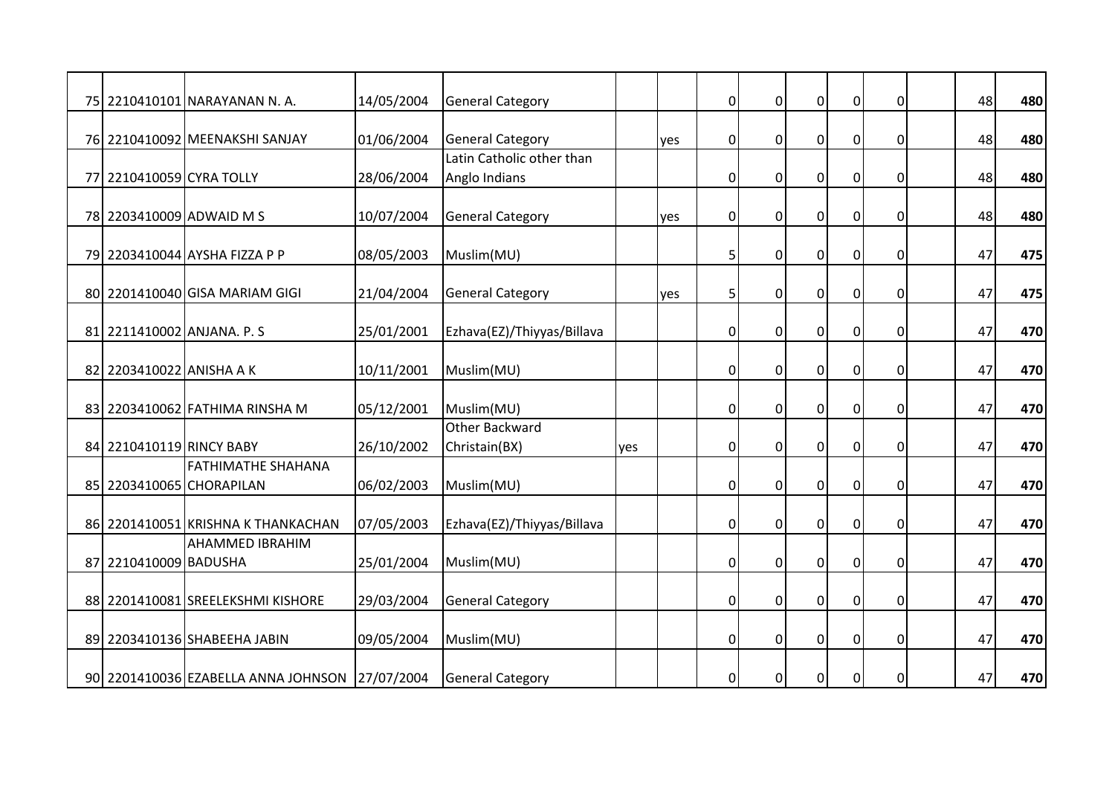|                          | 75 2210410101 NARAYANAN N. A.                         | 14/05/2004 | <b>General Category</b>    |     |     | $\overline{0}$ | $\mathbf 0$    | $\overline{0}$ | $\mathbf 0$    | $\mathbf 0$ | 48 | 480 |
|--------------------------|-------------------------------------------------------|------------|----------------------------|-----|-----|----------------|----------------|----------------|----------------|-------------|----|-----|
|                          | 76 2210410092 MEENAKSHI SANJAY                        | 01/06/2004 | <b>General Category</b>    |     | yes | $\overline{0}$ | $\mathbf 0$    | $\overline{0}$ | $\overline{0}$ | $\mathbf 0$ | 48 | 480 |
|                          |                                                       |            | Latin Catholic other than  |     |     |                |                |                |                |             |    |     |
| 77 2210410059 CYRA TOLLY |                                                       | 28/06/2004 | Anglo Indians              |     |     | 0              | $\mathbf 0$    | $\overline{0}$ | $\mathbf 0$    | 0           | 48 | 480 |
|                          | 78 2203410009 ADWAID M S                              | 10/07/2004 | <b>General Category</b>    |     | yes | $\overline{0}$ | $\mathbf 0$    | $\overline{0}$ | $\pmb{0}$      | $\mathbf 0$ | 48 | 480 |
|                          | 79 2203410044 AYSHA FIZZA P P                         | 08/05/2003 | Muslim(MU)                 |     |     | 5              | $\mathbf 0$    | $\overline{0}$ | $\pmb{0}$      | 0           | 47 | 475 |
|                          | 80 2201410040 GISA MARIAM GIGI                        | 21/04/2004 | <b>General Category</b>    |     | yes | 5              | $\overline{0}$ | $\overline{0}$ | $\overline{0}$ | $\mathbf 0$ | 47 | 475 |
|                          | 81 2211410002 ANJANA. P. S                            | 25/01/2001 | Ezhava(EZ)/Thiyyas/Billava |     |     | $\overline{0}$ | $\mathbf 0$    | $\overline{0}$ | $\overline{0}$ | 0           | 47 | 470 |
| 82 2203410022 ANISHA A K |                                                       | 10/11/2001 | Muslim(MU)                 |     |     | $\overline{0}$ | $\mathbf 0$    | $\overline{0}$ | $\mathbf 0$    | $\mathbf 0$ | 47 | 470 |
|                          | 83 2203410062 FATHIMA RINSHA M                        | 05/12/2001 | Muslim(MU)                 |     |     | 0              | $\mathbf{0}$   | $\Omega$       | $\overline{0}$ | $\Omega$    | 47 | 470 |
|                          |                                                       |            | Other Backward             |     |     |                |                |                |                |             |    |     |
| 84 2210410119 RINCY BABY |                                                       | 26/10/2002 | Christain(BX)              | yes |     | 0              | $\mathbf{0}$   | $\overline{0}$ | $\overline{0}$ | $\mathbf 0$ | 47 | 470 |
|                          | <b>FATHIMATHE SHAHANA</b><br>85 2203410065 CHORAPILAN | 06/02/2003 | Muslim(MU)                 |     |     | $\overline{0}$ | $\mathbf{0}$   | $\overline{0}$ | $\overline{0}$ | 0           | 47 | 470 |
|                          | 86 2201410051 KRISHNA K THANKACHAN                    | 07/05/2003 | Ezhava(EZ)/Thiyyas/Billava |     |     | $\overline{0}$ | $\mathbf 0$    | $\overline{0}$ | $\mathbf 0$    | $\mathbf 0$ | 47 | 470 |
| 87 2210410009 BADUSHA    | <b>AHAMMED IBRAHIM</b>                                | 25/01/2004 | Muslim(MU)                 |     |     | $\overline{0}$ | $\mathbf{0}$   | $\overline{0}$ | $\mathbf 0$    | $\Omega$    | 47 | 470 |
|                          | 88 2201410081 SREELEKSHMI KISHORE                     | 29/03/2004 | <b>General Category</b>    |     |     | $\overline{0}$ | $\overline{0}$ | $\overline{0}$ | $\pmb{0}$      | $\mathbf 0$ | 47 | 470 |
|                          | 89 2203410136 SHABEEHA JABIN                          | 09/05/2004 | Muslim(MU)                 |     |     | $\overline{0}$ | $\mathbf{0}$   | $\overline{0}$ | $\overline{0}$ | $\mathbf 0$ | 47 | 470 |
|                          | 90 2201410036 EZABELLA ANNA JOHNSON 27/07/2004        |            | <b>General Category</b>    |     |     | $\overline{0}$ | 0              | $\overline{0}$ | $\mathbf 0$    | 0           | 47 | 470 |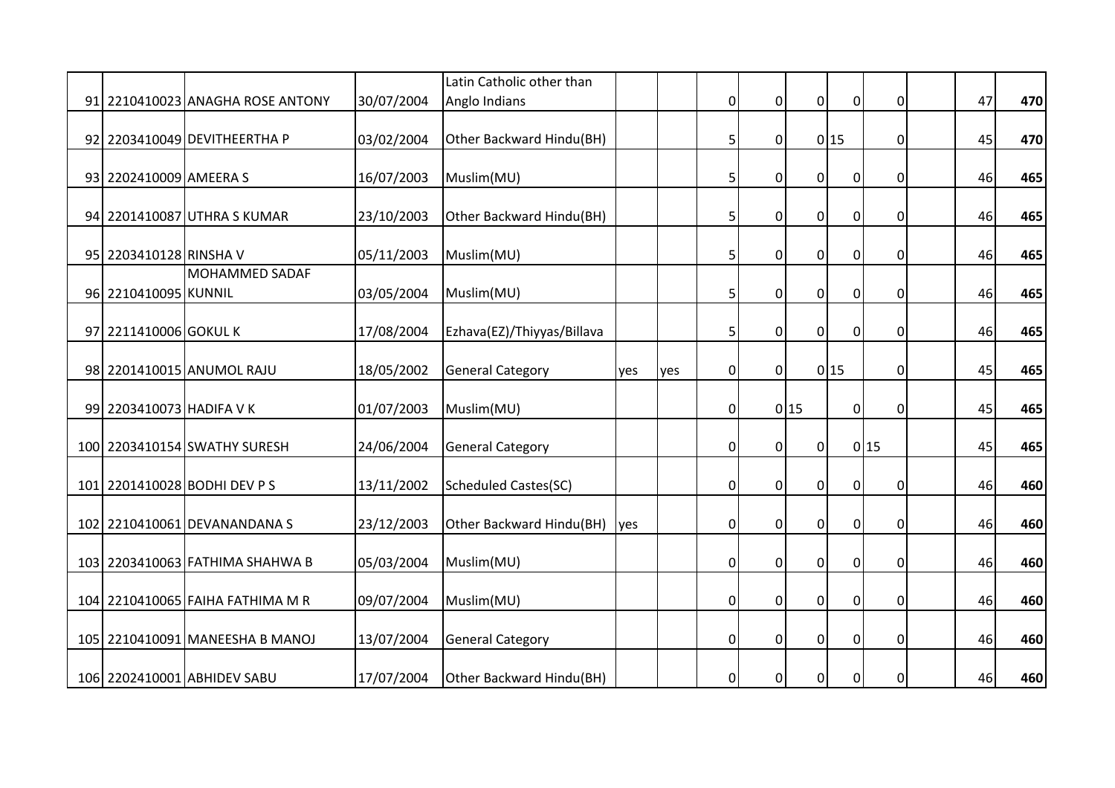|                          |                                  |            | Latin Catholic other than   |     |     |                |                  |                  |                |                  |    |     |
|--------------------------|----------------------------------|------------|-----------------------------|-----|-----|----------------|------------------|------------------|----------------|------------------|----|-----|
|                          | 91 2210410023 ANAGHA ROSE ANTONY | 30/07/2004 | Anglo Indians               |     |     | $\overline{0}$ | $\overline{0}$   | $\overline{0}$   | $\pmb{0}$      | $\mathbf 0$      | 47 | 470 |
|                          | 92 2203410049 DEVITHEERTHA P     | 03/02/2004 | Other Backward Hindu(BH)    |     |     | 5              | $\mathbf 0$      |                  | 0 15           | $\boldsymbol{0}$ | 45 | 470 |
| 93 2202410009 AMEERA S   |                                  | 16/07/2003 | Muslim(MU)                  |     |     | 5              | $\mathbf 0$      | $\boldsymbol{0}$ | $\overline{0}$ | 0                | 46 | 465 |
|                          | 94 2201410087 UTHRA S KUMAR      | 23/10/2003 | Other Backward Hindu(BH)    |     |     | 5              | $\boldsymbol{0}$ | $\mathbf 0$      | $\overline{0}$ | 0                | 46 | 465 |
| 95 2203410128 RINSHA V   |                                  | 05/11/2003 | Muslim(MU)                  |     |     | 5              | $\mathbf 0$      | $\mathbf 0$      | $\pmb{0}$      | 0                | 46 | 465 |
| 96 2210410095 KUNNIL     | <b>MOHAMMED SADAF</b>            | 03/05/2004 | Muslim(MU)                  |     |     | 5              | $\Omega$         | $\Omega$         | $\overline{0}$ | $\Omega$         | 46 | 465 |
| 97 2211410006 GOKUL K    |                                  | 17/08/2004 | Ezhava(EZ)/Thiyyas/Billava  |     |     | 5              | $\mathbf 0$      | $\overline{0}$   | $\mathbf 0$    | 0                | 46 | 465 |
|                          | 98 2201410015 ANUMOL RAJU        | 18/05/2002 | <b>General Category</b>     | yes | yes | $\overline{0}$ | $\mathbf 0$      |                  | 0 15           | 0                | 45 | 465 |
| 99 2203410073 HADIFA V K |                                  | 01/07/2003 | Muslim(MU)                  |     |     | $\overline{0}$ |                  | 0 15             | $\overline{0}$ | $\Omega$         | 45 | 465 |
|                          | 100 2203410154 SWATHY SURESH     | 24/06/2004 | <b>General Category</b>     |     |     | 0              | $\mathbf 0$      | $\overline{0}$   |                | 0 15             | 45 | 465 |
|                          | 101 2201410028 BODHI DEV PS      | 13/11/2002 | <b>Scheduled Castes(SC)</b> |     |     | $\overline{0}$ | $\mathbf 0$      | $\mathbf 0$      | $\overline{0}$ | 0                | 46 | 460 |
|                          | 102 2210410061 DEVANANDANA S     | 23/12/2003 | Other Backward Hindu(BH)    | yes |     | 0              | $\mathbf 0$      | $\mathbf 0$      | $\overline{0}$ | 0                | 46 | 460 |
|                          | 103 2203410063 FATHIMA SHAHWA B  | 05/03/2004 | Muslim(MU)                  |     |     | 0              | $\Omega$         | $\mathbf 0$      | $\overline{0}$ | $\Omega$         | 46 | 460 |
|                          | 104 2210410065 FAIHA FATHIMA M R | 09/07/2004 | Muslim(MU)                  |     |     | $\overline{0}$ | $\overline{0}$   | $\overline{0}$   | $\pmb{0}$      | $\mathbf 0$      | 46 | 460 |
|                          | 105 2210410091 MANEESHA B MANOJ  | 13/07/2004 | <b>General Category</b>     |     |     | $\overline{0}$ | $\mathbf{0}$     | $\overline{0}$   | $\mathbf 0$    | 0                | 46 | 460 |
|                          | 106 2202410001 ABHIDEV SABU      | 17/07/2004 | Other Backward Hindu(BH)    |     |     | $\overline{0}$ | 0                | $\mathbf 0$      | $\mathbf 0$    | 0                | 46 | 460 |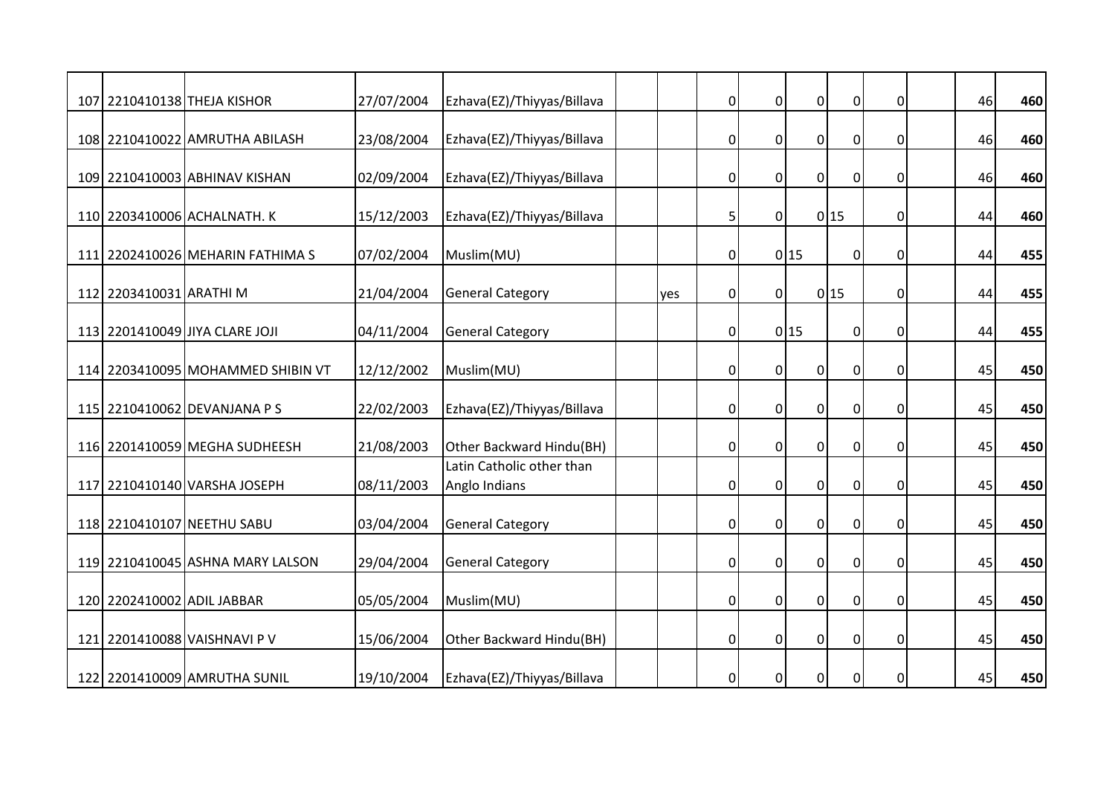|                            | 107 2210410138 THEJA KISHOR       | 27/07/2004 | Ezhava(EZ)/Thiyyas/Billava |     | $\overline{0}$ | $\overline{0}$ | $\overline{0}$   | $\pmb{0}$      | 0           | 46 | 460 |
|----------------------------|-----------------------------------|------------|----------------------------|-----|----------------|----------------|------------------|----------------|-------------|----|-----|
|                            |                                   |            |                            |     |                |                |                  |                |             |    |     |
|                            | 108 2210410022 AMRUTHA ABILASH    | 23/08/2004 | Ezhava(EZ)/Thiyyas/Billava |     | $\overline{0}$ | $\mathbf 0$    | $\overline{0}$   | $\overline{0}$ | 0           | 46 | 460 |
|                            |                                   |            |                            |     |                |                |                  |                |             |    |     |
|                            | 109 2210410003 ABHINAV KISHAN     | 02/09/2004 | Ezhava(EZ)/Thiyyas/Billava |     | $\overline{0}$ | $\mathbf 0$    | $\overline{0}$   | $\mathbf 0$    | 0           | 46 | 460 |
|                            | 110 2203410006 ACHALNATH. K       | 15/12/2003 | Ezhava(EZ)/Thiyyas/Billava |     | 5              | $\overline{0}$ |                  | 0 15           | 0           | 44 | 460 |
|                            | 111 2202410026 MEHARIN FATHIMA S  | 07/02/2004 | Muslim(MU)                 |     | 0              |                | 0 15             | $\overline{0}$ | 0           | 44 | 455 |
|                            |                                   |            |                            |     |                |                |                  |                |             |    |     |
| 112 2203410031 ARATHI M    |                                   | 21/04/2004 | <b>General Category</b>    | yes | $\overline{0}$ | $\mathbf 0$    |                  | 0 15           | $\mathbf 0$ | 44 | 455 |
|                            | 113 2201410049 JIYA CLARE JOJI    | 04/11/2004 | <b>General Category</b>    |     | $\overline{0}$ |                | 0 15             | $\pmb{0}$      | 0           | 44 | 455 |
|                            | 114 2203410095 MOHAMMED SHIBIN VT | 12/12/2002 | Muslim(MU)                 |     | 0              | $\mathbf 0$    | 0                | $\pmb{0}$      | 0           | 45 | 450 |
|                            | 115 2210410062 DEVANJANA P S      | 22/02/2003 | Ezhava(EZ)/Thiyyas/Billava |     | $\overline{0}$ | $\mathbf 0$    | $\overline{0}$   | $\overline{0}$ | $\mathbf 0$ | 45 | 450 |
|                            |                                   |            |                            |     |                |                |                  |                |             |    |     |
|                            | 116 2201410059 MEGHA SUDHEESH     | 21/08/2003 | Other Backward Hindu(BH)   |     | $\overline{0}$ | $\mathbf{0}$   | $\overline{0}$   | $\overline{0}$ | 0           | 45 | 450 |
|                            |                                   |            | Latin Catholic other than  |     |                |                |                  |                |             |    |     |
|                            | 117 2210410140 VARSHA JOSEPH      | 08/11/2003 | Anglo Indians              |     | 0              | $\mathbf 0$    | $\boldsymbol{0}$ | $\pmb{0}$      | 0           | 45 | 450 |
|                            | 118 2210410107 NEETHU SABU        | 03/04/2004 | <b>General Category</b>    |     | $\overline{0}$ | $\overline{0}$ | $\overline{0}$   | $\mathbf 0$    | 0           | 45 | 450 |
|                            | 119 2210410045 ASHNA MARY LALSON  | 29/04/2004 | <b>General Category</b>    |     | $\overline{0}$ | $\mathbf 0$    | $\overline{0}$   | $\overline{0}$ | $\mathbf 0$ | 45 | 450 |
| 120 2202410002 ADIL JABBAR |                                   | 05/05/2004 | Muslim(MU)                 |     | $\overline{0}$ | $\mathbf 0$    | $\boldsymbol{0}$ | $\overline{0}$ | $\mathbf 0$ | 45 | 450 |
|                            |                                   |            |                            |     |                |                |                  |                |             |    |     |
|                            | 121 2201410088 VAISHNAVI P V      | 15/06/2004 | Other Backward Hindu(BH)   |     | 0              | $\mathbf 0$    | $\mathbf 0$      | $\pmb{0}$      | 0           | 45 | 450 |
|                            | 122 2201410009 AMRUTHA SUNIL      | 19/10/2004 | Ezhava(EZ)/Thiyyas/Billava |     | $\overline{0}$ | $\mathbf 0$    | $\boldsymbol{0}$ | $\mathbf 0$    | $\mathbf 0$ | 45 | 450 |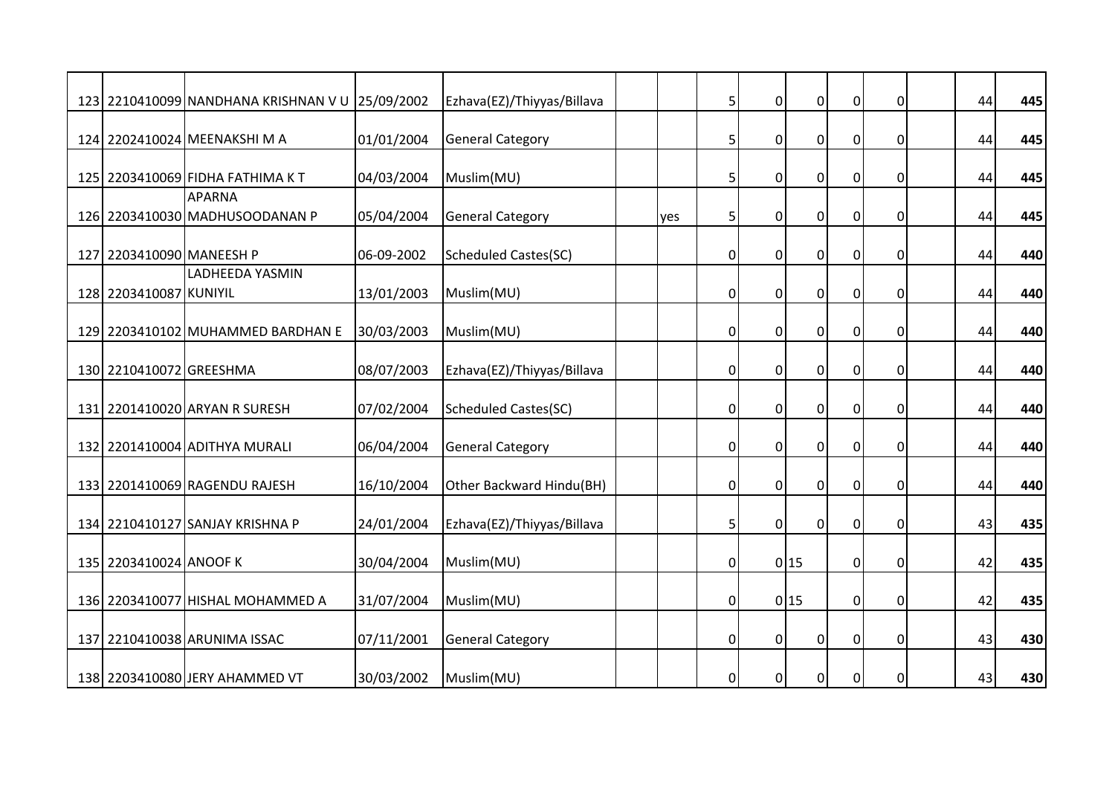|                          | 123 2210410099 NANDHANA KRISHNAN V U 25/09/2002 |            | Ezhava(EZ)/Thiyyas/Billava  |     | 5              | $\mathbf 0$    | $\overline{0}$ | $\pmb{0}$      | 0           | 44 | 445 |
|--------------------------|-------------------------------------------------|------------|-----------------------------|-----|----------------|----------------|----------------|----------------|-------------|----|-----|
|                          | 124 2202410024 MEENAKSHI MA                     | 01/01/2004 | <b>General Category</b>     |     | 5              | $\mathbf 0$    | $\overline{0}$ | $\overline{0}$ | $\mathbf 0$ | 44 | 445 |
|                          | 125 2203410069 FIDHA FATHIMA KT                 | 04/03/2004 | Muslim(MU)                  |     | 5              | $\mathbf 0$    | $\overline{0}$ | $\pmb{0}$      | 0           | 44 | 445 |
|                          | <b>APARNA</b><br>126 2203410030 MADHUSOODANAN P | 05/04/2004 | <b>General Category</b>     | ves | 5              | $\mathbf 0$    | $\overline{0}$ | $\mathbf 0$    | 0           | 44 | 445 |
| 127 2203410090 MANEESH P |                                                 | 06-09-2002 | <b>Scheduled Castes(SC)</b> |     | 0              | $\mathbf 0$    | $\mathbf 0$    | $\pmb{0}$      | $\Omega$    | 44 | 440 |
| 128 2203410087 KUNIYIL   | <b>LADHEEDA YASMIN</b>                          | 13/01/2003 | Muslim(MU)                  |     | 0              | $\mathbf 0$    | $\overline{0}$ | $\mathbf 0$    | 0           | 44 | 440 |
|                          | 129 2203410102 MUHAMMED BARDHAN E               | 30/03/2003 | Muslim(MU)                  |     | 0              | $\mathbf 0$    | $\overline{0}$ | $\mathbf 0$    | 0           | 44 | 440 |
| 130 2210410072 GREESHMA  |                                                 | 08/07/2003 | Ezhava(EZ)/Thiyyas/Billava  |     | $\overline{0}$ | $\mathbf 0$    | $\overline{0}$ | $\pmb{0}$      | $\mathbf 0$ | 44 | 440 |
|                          | 131 2201410020 ARYAN R SURESH                   | 07/02/2004 | <b>Scheduled Castes(SC)</b> |     | $\overline{0}$ | $\mathbf{0}$   | $\Omega$       | $\mathbf 0$    | $\Omega$    | 44 | 440 |
|                          | 132 2201410004 ADITHYA MURALI                   | 06/04/2004 | <b>General Category</b>     |     | $\overline{0}$ | $\mathbf 0$    | $\mathbf 0$    | $\overline{0}$ | 0           | 44 | 440 |
|                          | 133 2201410069 RAGENDU RAJESH                   | 16/10/2004 | Other Backward Hindu(BH)    |     | 0              | $\mathbf 0$    | 0              | $\pmb{0}$      | 0           | 44 | 440 |
|                          | 134 2210410127 SANJAY KRISHNA P                 | 24/01/2004 | Ezhava(EZ)/Thiyyas/Billava  |     | 5              | $\overline{0}$ | $\overline{0}$ | $\pmb{0}$      | $\mathbf 0$ | 43 | 435 |
| 135 2203410024 ANOOF K   |                                                 | 30/04/2004 | Muslim(MU)                  |     | $\overline{0}$ |                | 0 15           | $\overline{0}$ | $\mathbf 0$ | 42 | 435 |
|                          | 136 2203410077 HISHAL MOHAMMED A                | 31/07/2004 | Muslim(MU)                  |     | $\overline{0}$ |                | 0 15           | 0              | $\mathbf 0$ | 42 | 435 |
|                          | 137 2210410038 ARUNIMA ISSAC                    | 07/11/2001 | <b>General Category</b>     |     | 0              | $\mathbf 0$    | $\mathbf 0$    | $\pmb{0}$      | 0           | 43 | 430 |
|                          | 138 2203410080 JERY AHAMMED VT                  | 30/03/2002 | Muslim(MU)                  |     | 0              | $\mathbf 0$    | $\overline{0}$ | $\overline{0}$ | $\mathbf 0$ | 43 | 430 |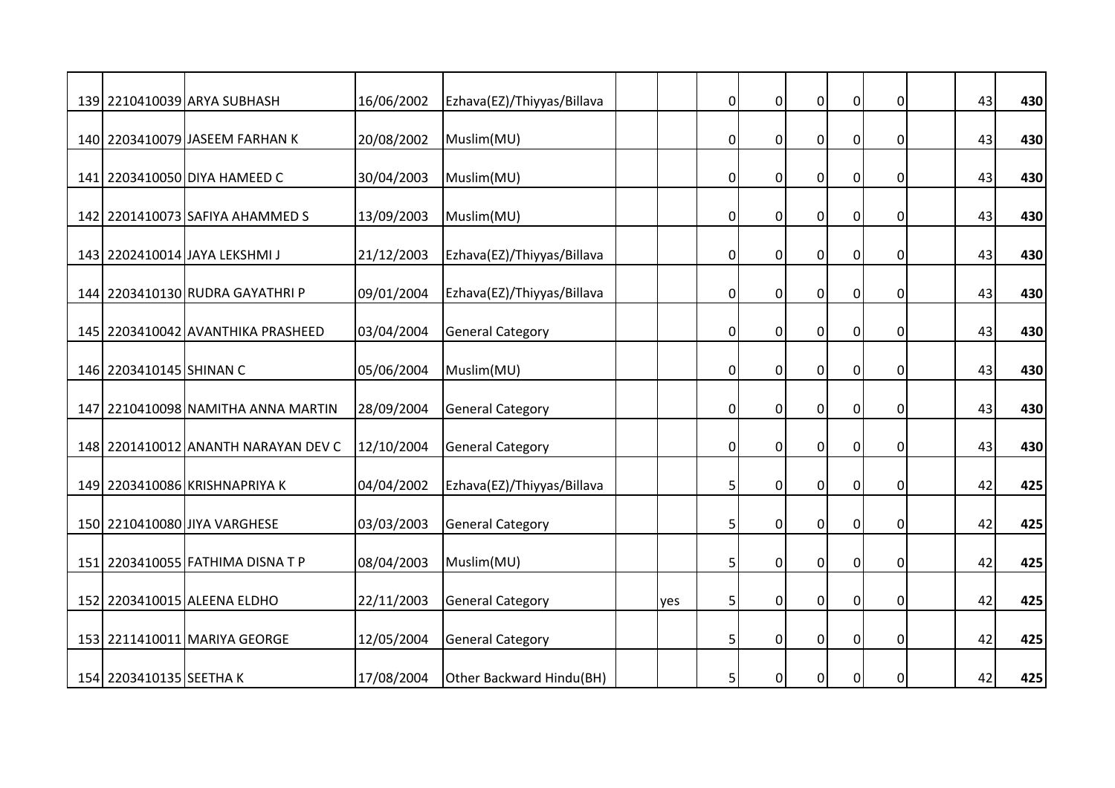|                         | 139 2210410039 ARYA SUBHASH         | 16/06/2002 | Ezhava(EZ)/Thiyyas/Billava |     | $\overline{0}$ | $\mathbf 0$    | $\overline{0}$   | $\pmb{0}$      | 0           | 43 | 430 |
|-------------------------|-------------------------------------|------------|----------------------------|-----|----------------|----------------|------------------|----------------|-------------|----|-----|
|                         | 140 2203410079 JASEEM FARHAN K      | 20/08/2002 | Muslim(MU)                 |     | 0              | $\mathbf 0$    | $\overline{0}$   | $\overline{0}$ | $\mathbf 0$ | 43 | 430 |
|                         | 141 2203410050 DIYA HAMEED C        | 30/04/2003 | Muslim(MU)                 |     | 0              | $\mathbf 0$    | $\overline{0}$   | $\pmb{0}$      | 0           | 43 | 430 |
|                         | 142 2201410073 SAFIYA AHAMMED S     | 13/09/2003 | Muslim(MU)                 |     | $\overline{0}$ | $\mathbf 0$    | $\overline{0}$   | $\mathbf 0$    | 0           | 43 | 430 |
|                         | 143 2202410014 JAYA LEKSHMI J       | 21/12/2003 | Ezhava(EZ)/Thiyyas/Billava |     | 0              | $\mathbf 0$    | $\mathbf 0$      | $\pmb{0}$      | $\Omega$    | 43 | 430 |
|                         | 144 2203410130 RUDRA GAYATHRI P     | 09/01/2004 | Ezhava(EZ)/Thiyyas/Billava |     | 0              | $\mathbf 0$    | $\overline{0}$   | $\overline{0}$ | 0           | 43 | 430 |
|                         | 145 2203410042 AVANTHIKA PRASHEED   | 03/04/2004 | <b>General Category</b>    |     | 0              | $\mathbf 0$    | $\overline{0}$   | $\overline{0}$ | 0           | 43 | 430 |
| 146 2203410145 SHINAN C |                                     | 05/06/2004 | Muslim(MU)                 |     | $\overline{0}$ | $\mathbf 0$    | $\overline{0}$   | $\pmb{0}$      | $\mathbf 0$ | 43 | 430 |
|                         | 147 2210410098 NAMITHA ANNA MARTIN  | 28/09/2004 | <b>General Category</b>    |     | $\overline{0}$ | $\overline{0}$ | $\Omega$         | $\mathbf 0$    | $\Omega$    | 43 | 430 |
|                         | 148 2201410012 ANANTH NARAYAN DEV C | 12/10/2004 | <b>General Category</b>    |     | $\overline{0}$ | $\mathbf 0$    | $\mathbf 0$      | $\overline{0}$ | 0           | 43 | 430 |
|                         | 149 2203410086 KRISHNAPRIYA K       | 04/04/2002 | Ezhava(EZ)/Thiyyas/Billava |     | 5              | $\mathbf 0$    | $\boldsymbol{0}$ | $\pmb{0}$      | 0           | 42 | 425 |
|                         | 150 2210410080 JIYA VARGHESE        | 03/03/2003 | <b>General Category</b>    |     | 5              | $\overline{0}$ | $\overline{0}$   | $\pmb{0}$      | 0           | 42 | 425 |
|                         | 151 2203410055 FATHIMA DISNA T P    | 08/04/2003 | Muslim(MU)                 |     | 5              | $\mathbf{0}$   | $\overline{0}$   | $\overline{0}$ | $\mathbf 0$ | 42 | 425 |
|                         | 152 2203410015 ALEENA ELDHO         | 22/11/2003 | <b>General Category</b>    | yes | 5              | $\mathbf 0$    | $\pmb{0}$        | $\overline{0}$ | $\mathbf 0$ | 42 | 425 |
|                         | 153 2211410011 MARIYA GEORGE        | 12/05/2004 | <b>General Category</b>    |     | 5              | $\mathbf 0$    | $\mathbf 0$      | $\pmb{0}$      | 0           | 42 | 425 |
| 154 2203410135 SEETHA K |                                     | 17/08/2004 | Other Backward Hindu(BH)   |     | 5              | $\mathbf 0$    | $\overline{0}$   | $\overline{0}$ | $\mathbf 0$ | 42 | 425 |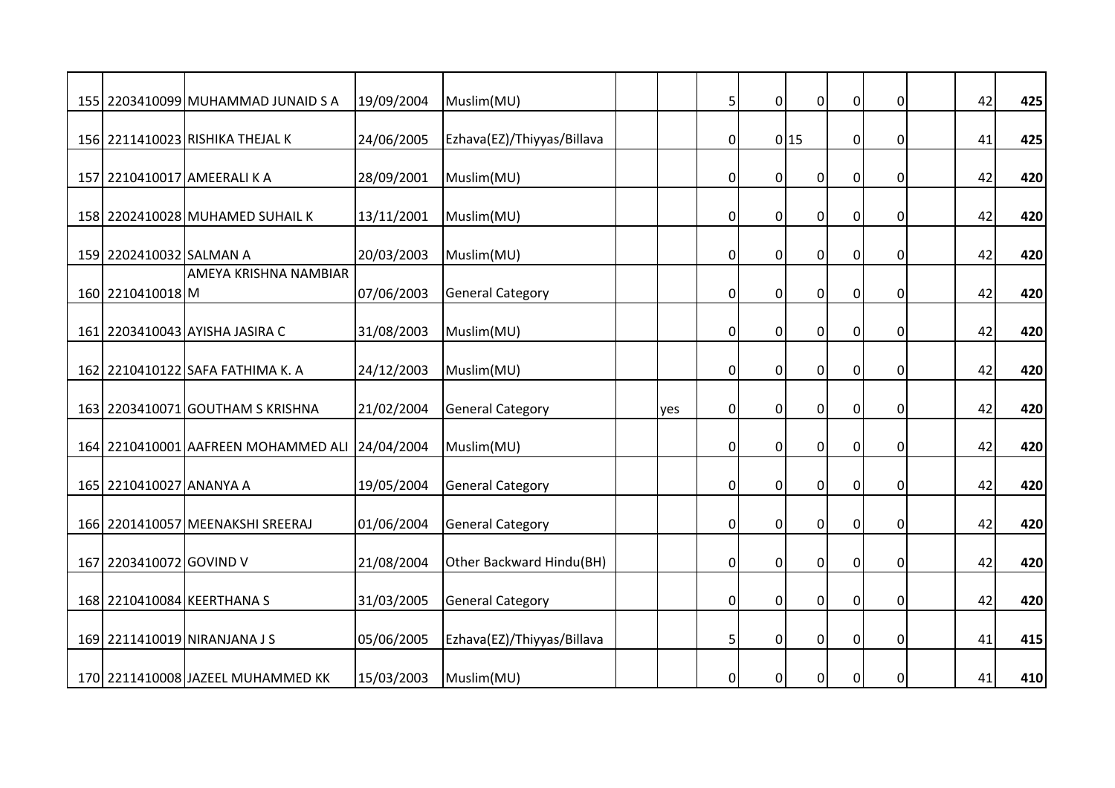|                         | 155 2203410099 MUHAMMAD JUNAID S A             | 19/09/2004 | Muslim(MU)                 |     | 5              | $\mathbf 0$    | $\overline{0}$   | $\mathbf 0$    | 0           | 42 | 425 |
|-------------------------|------------------------------------------------|------------|----------------------------|-----|----------------|----------------|------------------|----------------|-------------|----|-----|
|                         | 156 2211410023 RISHIKA THEJAL K                | 24/06/2005 | Ezhava(EZ)/Thiyyas/Billava |     | $\overline{0}$ |                | 0 15             | $\overline{0}$ | $\mathbf 0$ | 41 | 425 |
|                         | 157 2210410017 AMEERALI K A                    | 28/09/2001 | Muslim(MU)                 |     | $\overline{0}$ | $\mathbf 0$    | $\overline{0}$   | $\pmb{0}$      | 0           | 42 | 420 |
|                         | 158 2202410028 MUHAMED SUHAIL K                | 13/11/2001 | Muslim(MU)                 |     | $\overline{0}$ | $\mathbf 0$    | $\overline{0}$   | $\mathbf 0$    | 0           | 42 | 420 |
| 159 2202410032 SALMAN A |                                                | 20/03/2003 | Muslim(MU)                 |     | 0              | $\Omega$       | $\mathbf 0$      | $\pmb{0}$      | $\Omega$    | 42 | 420 |
| 160 2210410018 M        | AMEYA KRISHNA NAMBIAR                          | 07/06/2003 | <b>General Category</b>    |     | $\overline{0}$ | $\mathbf 0$    | $\overline{0}$   | $\overline{0}$ | 0           | 42 | 420 |
|                         | 161 2203410043 AYISHA JASIRA C                 | 31/08/2003 | Muslim(MU)                 |     | 0              | $\mathbf 0$    | $\overline{0}$   | $\pmb{0}$      | 0           | 42 | 420 |
|                         | 162 2210410122 SAFA FATHIMA K. A               | 24/12/2003 | Muslim(MU)                 |     | $\overline{0}$ | $\mathbf 0$    | $\overline{0}$   | $\pmb{0}$      | $\mathbf 0$ | 42 | 420 |
|                         | 163 2203410071 GOUTHAM S KRISHNA               | 21/02/2004 | <b>General Category</b>    | ves | $\overline{0}$ | $\overline{0}$ | $\overline{0}$   | $\mathbf 0$    | $\Omega$    | 42 | 420 |
|                         | 164 2210410001 AAFREEN MOHAMMED ALI 24/04/2004 |            | Muslim(MU)                 |     | $\overline{0}$ | $\mathbf 0$    | $\overline{0}$   | $\overline{0}$ | 0           | 42 | 420 |
| 165 2210410027 ANANYA A |                                                | 19/05/2004 | <b>General Category</b>    |     | 0              | $\mathbf 0$    | $\boldsymbol{0}$ | $\pmb{0}$      | 0           | 42 | 420 |
|                         | 166 2201410057 MEENAKSHI SREERAJ               | 01/06/2004 | <b>General Category</b>    |     | $\overline{0}$ | $\overline{0}$ | $\overline{0}$   | $\mathbf 0$    | $\mathbf 0$ | 42 | 420 |
| 167 2203410072 GOVIND V |                                                | 21/08/2004 | Other Backward Hindu(BH)   |     | $\overline{0}$ | $\mathbf{0}$   | $\overline{0}$   | $\overline{0}$ | $\mathbf 0$ | 42 | 420 |
|                         | 168 2210410084 KEERTHANA S                     | 31/03/2005 | <b>General Category</b>    |     | $\overline{0}$ | $\mathbf 0$    | $\pmb{0}$        | $\overline{0}$ | $\mathbf 0$ | 42 | 420 |
|                         | 169 2211410019 NIRANJANA J S                   | 05/06/2005 | Ezhava(EZ)/Thiyyas/Billava |     | 5              | $\mathbf 0$    | $\mathbf 0$      | $\overline{0}$ | 0           | 41 | 415 |
|                         | 170 2211410008 JAZEEL MUHAMMED KK              | 15/03/2003 | Muslim(MU)                 |     | $\overline{0}$ | $\mathbf 0$    | $\overline{0}$   | $\overline{0}$ | $\mathbf 0$ | 41 | 410 |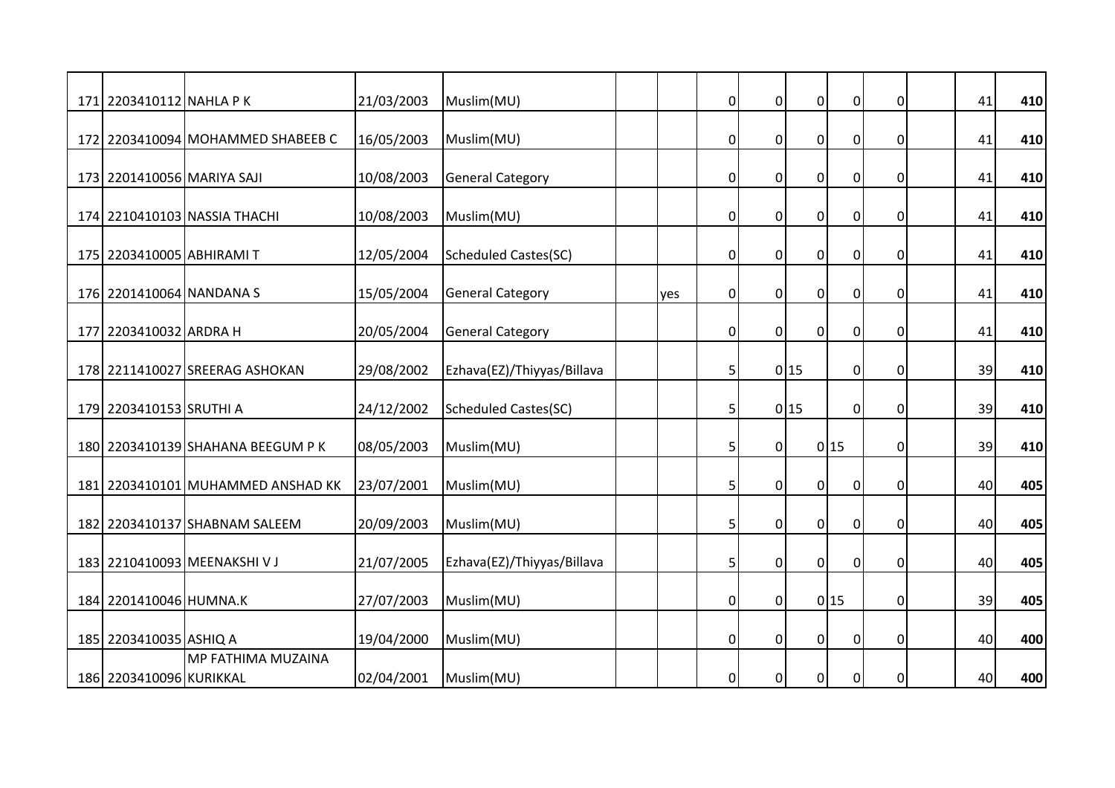| 171 2203410112 NAHLA PK    |                                   | 21/03/2003 | Muslim(MU)                  |     | $\overline{0}$ | $\mathbf 0$      | $\overline{0}$ | $\pmb{0}$        | 0           | 41 | 410 |
|----------------------------|-----------------------------------|------------|-----------------------------|-----|----------------|------------------|----------------|------------------|-------------|----|-----|
|                            |                                   |            |                             |     |                |                  |                |                  |             |    |     |
|                            | 172 2203410094 MOHAMMED SHABEEB C | 16/05/2003 | Muslim(MU)                  |     | $\overline{0}$ | $\mathbf 0$      | $\overline{0}$ | $\overline{0}$   | $\mathbf 0$ | 41 | 410 |
|                            |                                   |            |                             |     |                |                  |                |                  |             |    |     |
| 173 2201410056 MARIYA SAJI |                                   | 10/08/2003 | <b>General Category</b>     |     | $\overline{0}$ | $\mathbf 0$      | $\overline{0}$ | $\pmb{0}$        | 0           | 41 | 410 |
|                            |                                   |            |                             |     |                |                  |                |                  |             |    |     |
|                            | 174 2210410103 NASSIA THACHI      | 10/08/2003 | Muslim(MU)                  |     | $\mathbf 0$    | $\mathbf 0$      | $\mathbf 0$    | $\mathbf 0$      | 0           | 41 | 410 |
| 175 2203410005 ABHIRAMI T  |                                   | 12/05/2004 | <b>Scheduled Castes(SC)</b> |     | $\mathbf 0$    | $\mathbf 0$      | $\mathbf 0$    | $\pmb{0}$        | 0           | 41 | 410 |
|                            |                                   |            |                             |     |                |                  |                |                  |             |    |     |
| 176 2201410064 NANDANA S   |                                   | 15/05/2004 | <b>General Category</b>     | yes | $\overline{0}$ | $\mathbf 0$      | $\overline{0}$ | $\overline{0}$   | 0           | 41 | 410 |
|                            |                                   |            |                             |     |                |                  |                |                  |             |    |     |
| 177 2203410032 ARDRA H     |                                   | 20/05/2004 | <b>General Category</b>     |     | $\overline{0}$ | $\mathbf 0$      | $\mathbf 0$    | $\overline{0}$   | 0           | 41 | 410 |
|                            |                                   |            |                             |     |                |                  |                |                  |             |    |     |
|                            | 178 2211410027 SREERAG ASHOKAN    | 29/08/2002 | Ezhava(EZ)/Thiyyas/Billava  |     | 5              |                  | 0 15           | $\overline{0}$   | 0           | 39 | 410 |
|                            |                                   |            |                             |     |                |                  |                |                  |             |    |     |
| 179 2203410153 SRUTHI A    |                                   | 24/12/2002 | <b>Scheduled Castes(SC)</b> |     | 5 <sup>1</sup> |                  | 0 15           | $\overline{0}$   | 0           | 39 | 410 |
|                            |                                   |            |                             |     |                |                  |                |                  |             |    |     |
|                            | 180 2203410139 SHAHANA BEEGUM P K | 08/05/2003 | Muslim(MU)                  |     | 5              | $\mathbf 0$      |                | 0 15             | 0           | 39 | 410 |
|                            |                                   |            |                             |     |                |                  |                |                  |             |    |     |
|                            | 181 2203410101 MUHAMMED ANSHAD KK | 23/07/2001 | Muslim(MU)                  |     | 5              | $\boldsymbol{0}$ | $\overline{0}$ | $\pmb{0}$        | 0           | 40 | 405 |
|                            | 182 2203410137 SHABNAM SALEEM     | 20/09/2003 | Muslim(MU)                  |     | 5              | $\mathbf 0$      | $\overline{0}$ | $\mathbf 0$      | 0           | 40 | 405 |
|                            |                                   |            |                             |     |                |                  |                |                  |             |    |     |
|                            | 183 2210410093 MEENAKSHI VJ       | 21/07/2005 | Ezhava(EZ)/Thiyyas/Billava  |     | 5              | $\overline{0}$   | $\overline{0}$ | $\mathbf 0$      | 0           | 40 | 405 |
|                            |                                   |            |                             |     |                |                  |                |                  |             |    |     |
| 184 2201410046 HUMNA.K     |                                   | 27/07/2003 | Muslim(MU)                  |     | $\overline{0}$ | $\mathbf 0$      |                | 0 15             | $\mathbf 0$ | 39 | 405 |
|                            |                                   |            |                             |     |                |                  |                |                  |             |    |     |
| 185 2203410035 ASHIQ A     |                                   | 19/04/2000 | Muslim(MU)                  |     | $\mathbf 0$    | $\mathbf 0$      | $\mathbf 0$    | $\boldsymbol{0}$ | 0           | 40 | 400 |
|                            | MP FATHIMA MUZAINA                |            |                             |     |                |                  |                |                  |             |    |     |
| 186 2203410096 KURIKKAL    |                                   | 02/04/2001 | Muslim(MU)                  |     | $\overline{0}$ | $\mathbf 0$      | $\overline{0}$ | $\overline{0}$   | $\mathbf 0$ | 40 | 400 |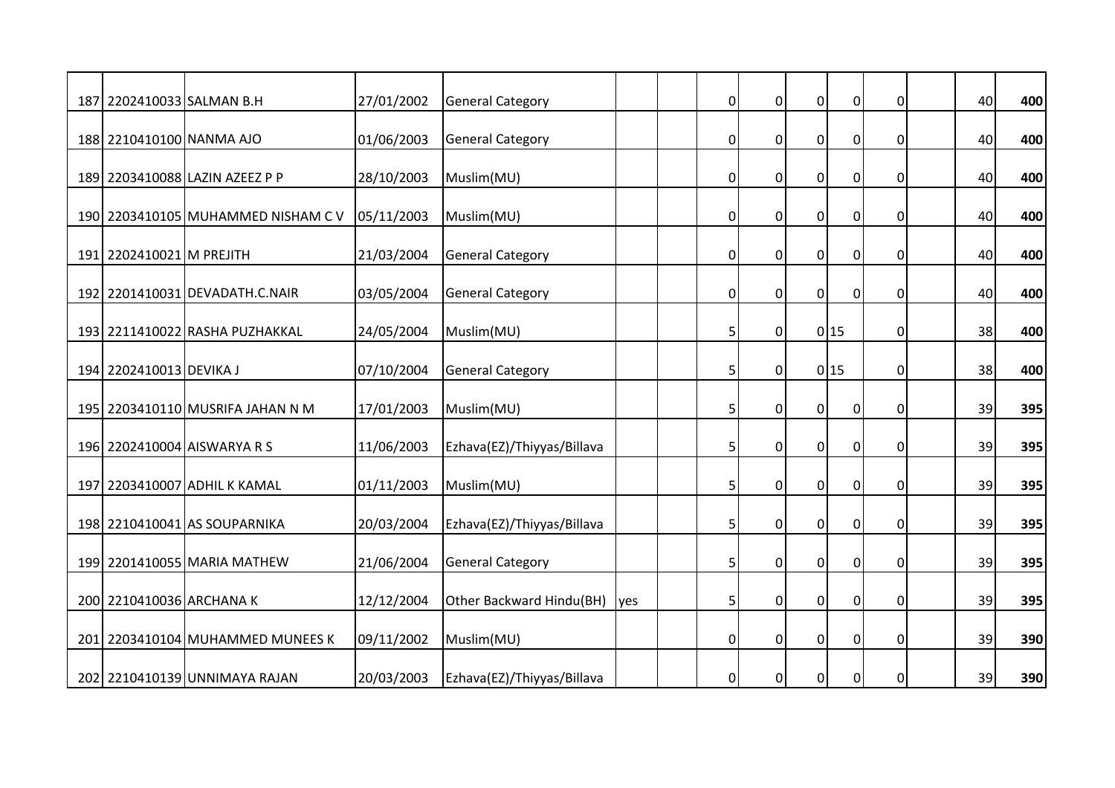| 187 2202410033 SALMAN B.H |                                    | 27/01/2002 | <b>General Category</b>    |      | $\overline{0}$ | $\mathbf 0$    | $\overline{0}$ | $\mathbf 0$    | 0           | 40 | 400 |
|---------------------------|------------------------------------|------------|----------------------------|------|----------------|----------------|----------------|----------------|-------------|----|-----|
| 188 2210410100 NANMA AJO  |                                    | 01/06/2003 | <b>General Category</b>    |      | 0              | $\mathbf 0$    | $\overline{0}$ | $\overline{0}$ | $\mathbf 0$ | 40 | 400 |
|                           | 189 2203410088 LAZIN AZEEZ P P     | 28/10/2003 | Muslim(MU)                 |      | $\overline{0}$ | $\mathbf 0$    | $\overline{0}$ | $\overline{0}$ | 0           | 40 | 400 |
|                           | 190 2203410105 MUHAMMED NISHAM C V | 05/11/2003 | Muslim(MU)                 |      | 0              | $\mathbf 0$    | $\mathbf 0$    | $\overline{0}$ | 0           | 40 | 400 |
| 191 2202410021 M PREJITH  |                                    | 21/03/2004 | <b>General Category</b>    |      | $\overline{0}$ | $\mathbf 0$    | $\overline{0}$ | $\mathbf 0$    | 0           | 40 | 400 |
|                           | 192 2201410031 DEVADATH.C.NAIR     | 03/05/2004 | <b>General Category</b>    |      | 0              | $\overline{0}$ | $\mathbf 0$    | $\pmb{0}$      | 0           | 40 | 400 |
|                           | 193 2211410022 RASHA PUZHAKKAL     | 24/05/2004 | Muslim(MU)                 |      | 5              | $\mathbf 0$    |                | 0 15           | $\mathbf 0$ | 38 | 400 |
| 194 2202410013 DEVIKA J   |                                    | 07/10/2004 | <b>General Category</b>    |      | 5              | $\Omega$       |                | 0 15           | 0           | 38 | 400 |
|                           | 195 2203410110 MUSRIFA JAHAN N M   | 17/01/2003 | Muslim(MU)                 |      | 5              | $\mathbf 0$    | $\mathbf 0$    | $\mathbf 0$    | 0           | 39 | 395 |
|                           | 196 2202410004 AISWARYA R S        | 11/06/2003 | Ezhava(EZ)/Thiyyas/Billava |      | 5              | $\mathbf 0$    | $\overline{0}$ | $\mathbf 0$    | 0           | 39 | 395 |
|                           | 197 2203410007 ADHIL K KAMAL       | 01/11/2003 | Muslim(MU)                 |      | 5              | $\overline{0}$ | $\overline{0}$ | $\overline{0}$ | 0           | 39 | 395 |
|                           | 198 2210410041 AS SOUPARNIKA       | 20/03/2004 | Ezhava(EZ)/Thiyyas/Billava |      | 5              | $\mathbf{0}$   | $\overline{0}$ | $\mathbf 0$    | $\mathbf 0$ | 39 | 395 |
|                           | 199 2201410055 MARIA MATHEW        | 21/06/2004 | <b>General Category</b>    |      | 5              | 0              | $\mathbf 0$    | $\pmb{0}$      | 0           | 39 | 395 |
| 200 2210410036 ARCHANA K  |                                    | 12/12/2004 | Other Backward Hindu(BH)   | lyes | 5              | $\overline{0}$ | $\overline{0}$ | $\pmb{0}$      | $\mathbf 0$ | 39 | 395 |
|                           | 201 2203410104 MUHAMMED MUNEES K   | 09/11/2002 | Muslim(MU)                 |      | $\overline{0}$ | $\mathbf{0}$   | $\overline{0}$ | $\mathbf 0$    | 0           | 39 | 390 |
|                           | 202 2210410139 UNNIMAYA RAJAN      | 20/03/2003 | Ezhava(EZ)/Thiyyas/Billava |      | $\overline{0}$ | $\Omega$       | $\mathbf 0$    | $\mathbf 0$    | 0           | 39 | 390 |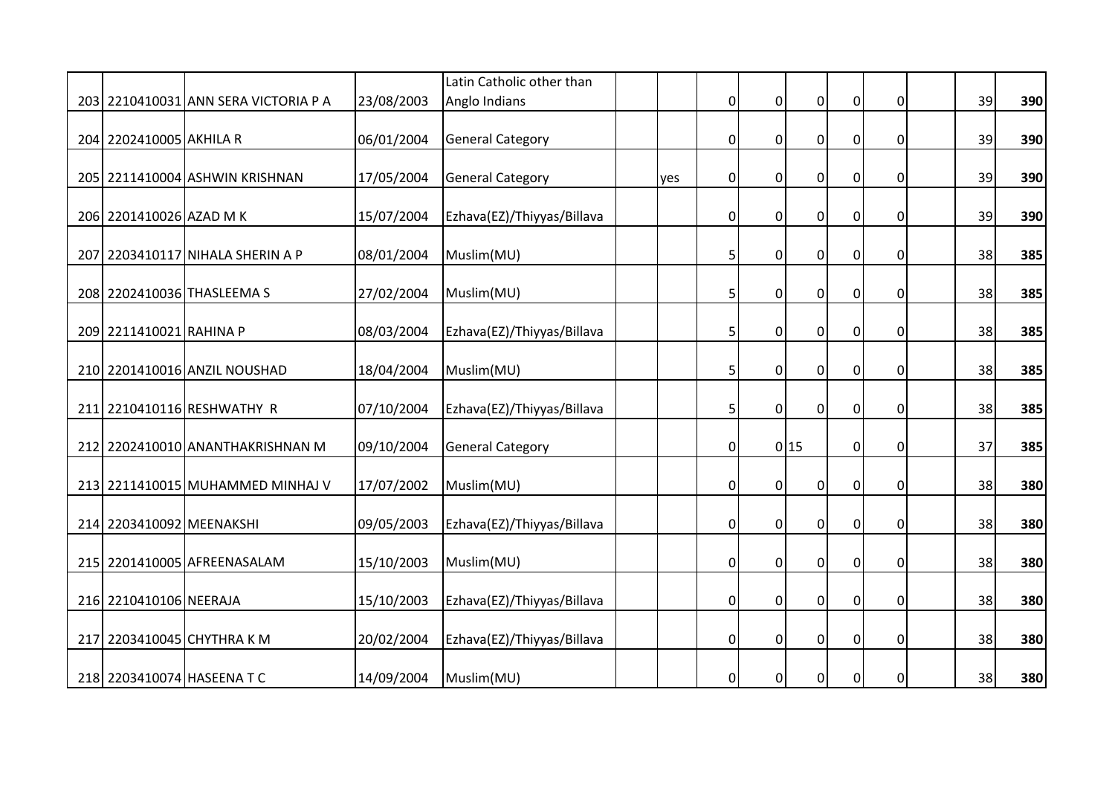|                          |                                      |            | Latin Catholic other than  |     |                |                  |                |                |             |    |     |
|--------------------------|--------------------------------------|------------|----------------------------|-----|----------------|------------------|----------------|----------------|-------------|----|-----|
|                          | 203 2210410031 ANN SERA VICTORIA P A | 23/08/2003 | Anglo Indians              |     | $\overline{0}$ | $\mathbf 0$      | $\overline{0}$ | $\pmb{0}$      | 0           | 39 | 390 |
| 204 2202410005 AKHILA R  |                                      | 06/01/2004 | <b>General Category</b>    |     | $\overline{0}$ | $\mathbf 0$      | $\mathbf 0$    | $\overline{0}$ | $\mathbf 0$ | 39 | 390 |
|                          | 205   2211410004   ASHWIN KRISHNAN   | 17/05/2004 | <b>General Category</b>    | yes | $\overline{0}$ | $\mathbf 0$      | $\mathbf 0$    | $\pmb{0}$      | 0           | 39 | 390 |
| 206 2201410026 AZAD M K  |                                      | 15/07/2004 | Ezhava(EZ)/Thiyyas/Billava |     | $\mathbf 0$    | $\mathbf 0$      | $\mathbf 0$    | $\pmb{0}$      | 0           | 39 | 390 |
|                          | 207 2203410117 NIHALA SHERIN A P     | 08/01/2004 | Muslim(MU)                 |     | 5              | $\mathbf 0$      | $\mathbf 0$    | $\mathbf 0$    | $\mathbf 0$ | 38 | 385 |
|                          | 208 2202410036 THASLEEMA S           | 27/02/2004 | Muslim(MU)                 |     | 5              | $\mathbf 0$      | $\overline{0}$ | $\overline{0}$ | $\mathbf 0$ | 38 | 385 |
| 209 2211410021 RAHINA P  |                                      | 08/03/2004 | Ezhava(EZ)/Thiyyas/Billava |     | 5              | 0                | $\mathbf 0$    | $\mathbf 0$    | 0           | 38 | 385 |
|                          | 210 2201410016 ANZIL NOUSHAD         | 18/04/2004 | Muslim(MU)                 |     | 5              | $\boldsymbol{0}$ | $\mathbf 0$    | $\pmb{0}$      | 0           | 38 | 385 |
|                          | 211 2210410116 RESHWATHY R           | 07/10/2004 | Ezhava(EZ)/Thiyyas/Billava |     | 5              | $\mathbf 0$      | $\overline{0}$ | $\overline{0}$ | $\mathbf 0$ | 38 | 385 |
|                          | 212 2202410010 ANANTHAKRISHNAN M     | 09/10/2004 | <b>General Category</b>    |     | $\overline{0}$ |                  | 0 15           | $\overline{0}$ | 0           | 37 | 385 |
|                          | 213 2211410015 MUHAMMED MINHAJ V     | 17/07/2002 | Muslim(MU)                 |     | $\mathbf 0$    | $\boldsymbol{0}$ | $\mathbf 0$    | $\pmb{0}$      | 0           | 38 | 380 |
| 214 2203410092 MEENAKSHI |                                      | 09/05/2003 | Ezhava(EZ)/Thiyyas/Billava |     | $\overline{0}$ | $\mathbf 0$      | $\overline{0}$ | $\mathbf 0$    | 0           | 38 | 380 |
|                          | 215 2201410005 AFREENASALAM          | 15/10/2003 | Muslim(MU)                 |     | $\overline{0}$ | $\mathbf{0}$     | $\overline{0}$ | $\overline{0}$ | $\mathbf 0$ | 38 | 380 |
| 216 2210410106 NEERAJA   |                                      | 15/10/2003 | Ezhava(EZ)/Thiyyas/Billava |     | $\overline{0}$ | $\mathbf 0$      | $\mathbf 0$    | $\overline{0}$ | $\mathbf 0$ | 38 | 380 |
|                          | 217 2203410045 CHYTHRA K M           | 20/02/2004 | Ezhava(EZ)/Thiyyas/Billava |     | $\mathbf 0$    | $\mathbf 0$      | $\mathbf 0$    | $\mathbf 0$    | 0           | 38 | 380 |
|                          | 218 2203410074 HASEENA T C           | 14/09/2004 | Muslim(MU)                 |     | $\overline{0}$ | $\mathbf 0$      | $\mathbf 0$    | $\mathbf 0$    | $\mathbf 0$ | 38 | 380 |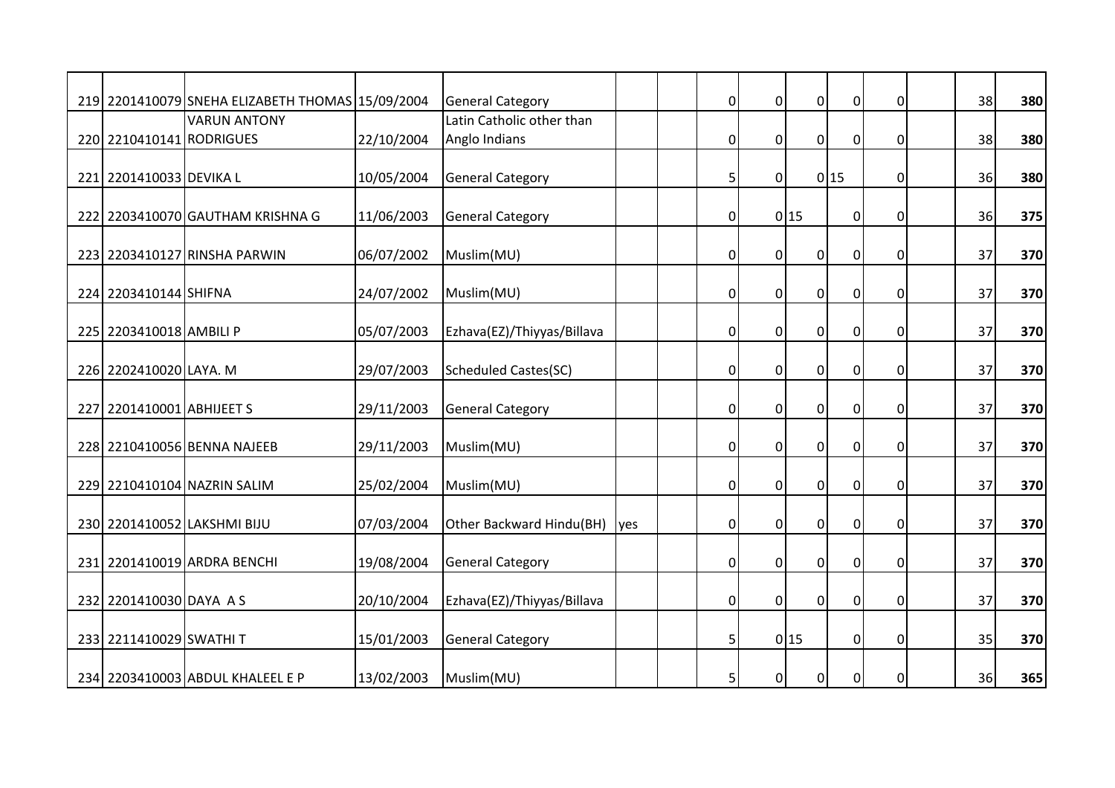|                           | 219 2201410079 SNEHA ELIZABETH THOMAS 15/09/2004 |            | <b>General Category</b>     |            | $\overline{0}$ | $\mathbf 0$    | $\overline{0}$   | $\mathbf 0$    | 0           | 38 | 380 |
|---------------------------|--------------------------------------------------|------------|-----------------------------|------------|----------------|----------------|------------------|----------------|-------------|----|-----|
|                           | <b>VARUN ANTONY</b>                              |            | Latin Catholic other than   |            |                |                |                  |                |             |    |     |
| 220 2210410141 RODRIGUES  |                                                  | 22/10/2004 | Anglo Indians               |            | $\overline{0}$ | $\overline{0}$ | $\overline{0}$   | $\overline{0}$ | $\mathbf 0$ | 38 | 380 |
|                           |                                                  |            |                             |            |                |                |                  |                |             |    |     |
| 221 2201410033 DEVIKA L   |                                                  | 10/05/2004 | <b>General Category</b>     |            | 5              | $\mathbf 0$    |                  | 0 15           | $\mathbf 0$ | 36 | 380 |
|                           | 222 2203410070 GAUTHAM KRISHNA G                 | 11/06/2003 | <b>General Category</b>     |            | $\overline{0}$ |                | 0 15             | $\pmb{0}$      | $\mathbf 0$ | 36 | 375 |
|                           |                                                  |            |                             |            |                |                |                  |                |             |    |     |
|                           | 223 2203410127 RINSHA PARWIN                     | 06/07/2002 | Muslim(MU)                  |            | $\overline{0}$ | $\mathbf 0$    | $\mathbf 0$      | $\pmb{0}$      | $\Omega$    | 37 | 370 |
|                           |                                                  |            |                             |            |                |                |                  |                |             |    |     |
| 224 2203410144 SHIFNA     |                                                  | 24/07/2002 | Muslim(MU)                  |            | $\overline{0}$ | $\mathbf 0$    | $\overline{0}$   | $\overline{0}$ | $\mathbf 0$ | 37 | 370 |
|                           |                                                  |            |                             |            |                |                |                  |                |             |    |     |
| 225 2203410018 AMBILI P   |                                                  | 05/07/2003 | Ezhava(EZ)/Thiyyas/Billava  |            | $\overline{0}$ | $\mathbf 0$    | $\overline{0}$   | $\mathbf 0$    | 0           | 37 | 370 |
| 226 2202410020 LAYA. M    |                                                  | 29/07/2003 | <b>Scheduled Castes(SC)</b> |            | $\overline{0}$ | $\mathbf 0$    | $\overline{0}$   | $\pmb{0}$      | $\mathbf 0$ | 37 | 370 |
|                           |                                                  |            |                             |            |                |                |                  |                |             |    |     |
| 227 2201410001 ABHIJEET S |                                                  | 29/11/2003 | <b>General Category</b>     |            | $\overline{0}$ | $\overline{0}$ | $\overline{0}$   | $\overline{0}$ | $\Omega$    | 37 | 370 |
|                           |                                                  |            |                             |            |                |                |                  |                |             |    |     |
|                           | 228 2210410056 BENNA NAJEEB                      | 29/11/2003 | Muslim(MU)                  |            | $\overline{0}$ | $\mathbf 0$    | $\overline{0}$   | $\overline{0}$ | 0           | 37 | 370 |
|                           |                                                  |            |                             |            |                |                |                  |                |             |    |     |
|                           | 229 2210410104 NAZRIN SALIM                      | 25/02/2004 | Muslim(MU)                  |            | 0              | $\mathbf 0$    | $\overline{0}$   | $\pmb{0}$      | $\mathbf 0$ | 37 | 370 |
|                           |                                                  |            |                             |            |                |                |                  |                |             |    |     |
|                           | 230 2201410052 LAKSHMI BIJU                      | 07/03/2004 | Other Backward Hindu(BH)    | <b>yes</b> | $\overline{0}$ | $\overline{0}$ | $\overline{0}$   | $\mathbf 0$    | $\mathbf 0$ | 37 | 370 |
|                           |                                                  |            |                             |            |                |                |                  |                |             | 37 |     |
|                           | 231 2201410019 ARDRA BENCHI                      | 19/08/2004 | <b>General Category</b>     |            | $\overline{0}$ | $\mathbf{0}$   | $\overline{0}$   | $\overline{0}$ | $\mathbf 0$ |    | 370 |
| 232 2201410030 DAYA A S   |                                                  | 20/10/2004 | Ezhava(EZ)/Thiyyas/Billava  |            | $\overline{0}$ | $\overline{0}$ | $\overline{0}$   | $\overline{0}$ | $\mathbf 0$ | 37 | 370 |
|                           |                                                  |            |                             |            |                |                |                  |                |             |    |     |
| 233 2211410029 SWATHI T   |                                                  | 15/01/2003 | <b>General Category</b>     |            | 5              |                | 0 15             | $\overline{0}$ | 0           | 35 | 370 |
|                           |                                                  |            |                             |            |                |                |                  |                |             |    |     |
|                           | 234 2203410003 ABDUL KHALEEL E P                 | 13/02/2003 | Muslim(MU)                  |            | 5              | $\overline{0}$ | $\boldsymbol{0}$ | $\pmb{0}$      | $\mathbf 0$ | 36 | 365 |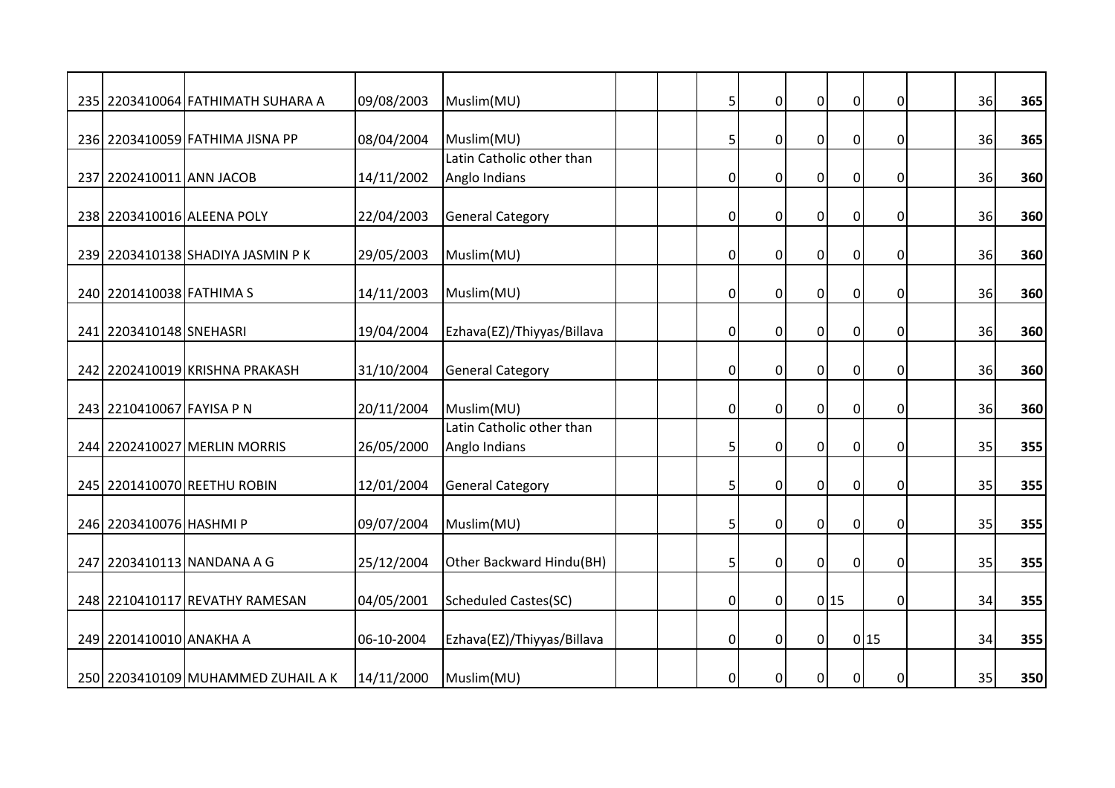|                           | 235 2203410064 FATHIMATH SUHARA A  | 09/08/2003 | Muslim(MU)                                 | 5              | $\mathbf 0$    | $\overline{0}$   | $\pmb{0}$      | $\Omega$    | 36 | 365 |
|---------------------------|------------------------------------|------------|--------------------------------------------|----------------|----------------|------------------|----------------|-------------|----|-----|
|                           | 236 2203410059 FATHIMA JISNA PP    | 08/04/2004 | Muslim(MU)                                 | 5              | $\mathbf 0$    | $\overline{0}$   | $\overline{0}$ | $\mathbf 0$ | 36 | 365 |
|                           |                                    |            | Latin Catholic other than                  |                |                |                  |                |             |    |     |
| 237 2202410011 ANN JACOB  |                                    | 14/11/2002 | Anglo Indians                              | $\overline{0}$ | $\mathbf 0$    | $\overline{0}$   | $\pmb{0}$      | 0           | 36 | 360 |
|                           | 238 2203410016 ALEENA POLY         | 22/04/2003 | <b>General Category</b>                    | $\overline{0}$ | $\mathbf 0$    | $\overline{0}$   | $\mathbf 0$    | 0           | 36 | 360 |
|                           | 239 2203410138 SHADIYA JASMIN P K  | 29/05/2003 | Muslim(MU)                                 | 0              | $\Omega$       | $\mathbf 0$      | $\pmb{0}$      | $\Omega$    | 36 | 360 |
| 240 2201410038 FATHIMA S  |                                    | 14/11/2003 | Muslim(MU)                                 | $\overline{0}$ | $\mathbf 0$    | $\overline{0}$   | $\overline{0}$ | $\mathbf 0$ | 36 | 360 |
| 241 2203410148 SNEHASRI   |                                    | 19/04/2004 | Ezhava(EZ)/Thiyyas/Billava                 | 0              | $\mathbf 0$    | $\overline{0}$   | $\pmb{0}$      | 0           | 36 | 360 |
|                           | 242 2202410019 KRISHNA PRAKASH     | 31/10/2004 | <b>General Category</b>                    | $\overline{0}$ | $\mathbf 0$    | $\overline{0}$   | $\pmb{0}$      | $\mathbf 0$ | 36 | 360 |
| 243 2210410067 FAYISA P N |                                    | 20/11/2004 | Muslim(MU)                                 | $\overline{0}$ | $\overline{0}$ | $\Omega$         | $\mathbf 0$    | $\Omega$    | 36 | 360 |
|                           | 244 2202410027 MERLIN MORRIS       | 26/05/2000 | Latin Catholic other than<br>Anglo Indians | 5              | $\mathbf 0$    | $\overline{0}$   | $\overline{0}$ | 0           | 35 | 355 |
|                           | 245 2201410070 REETHU ROBIN        | 12/01/2004 | <b>General Category</b>                    | 5              | $\mathbf 0$    | $\boldsymbol{0}$ | $\pmb{0}$      | 0           | 35 | 355 |
| 246 2203410076 HASHMI P   |                                    | 09/07/2004 | Muslim(MU)                                 | 5              | $\overline{0}$ | $\overline{0}$   | $\mathbf 0$    | $\mathbf 0$ | 35 | 355 |
|                           | 247 2203410113 NANDANA A G         | 25/12/2004 | Other Backward Hindu(BH)                   | 5              | $\mathbf{0}$   | $\overline{0}$   | $\overline{0}$ | $\mathbf 0$ | 35 | 355 |
|                           | 248 2210410117 REVATHY RAMESAN     | 04/05/2001 | <b>Scheduled Castes(SC)</b>                | $\overline{0}$ | $\mathbf 0$    |                  | 0 15           | $\mathbf 0$ | 34 | 355 |
| 249 2201410010 ANAKHA A   |                                    | 06-10-2004 | Ezhava(EZ)/Thiyyas/Billava                 | 0              | $\mathbf 0$    | $\overline{0}$   |                | 0 15        | 34 | 355 |
|                           | 250 2203410109 MUHAMMED ZUHAIL A K | 14/11/2000 | Muslim(MU)                                 | 0              | $\mathbf 0$    | $\boldsymbol{0}$ | $\overline{0}$ | $\mathbf 0$ | 35 | 350 |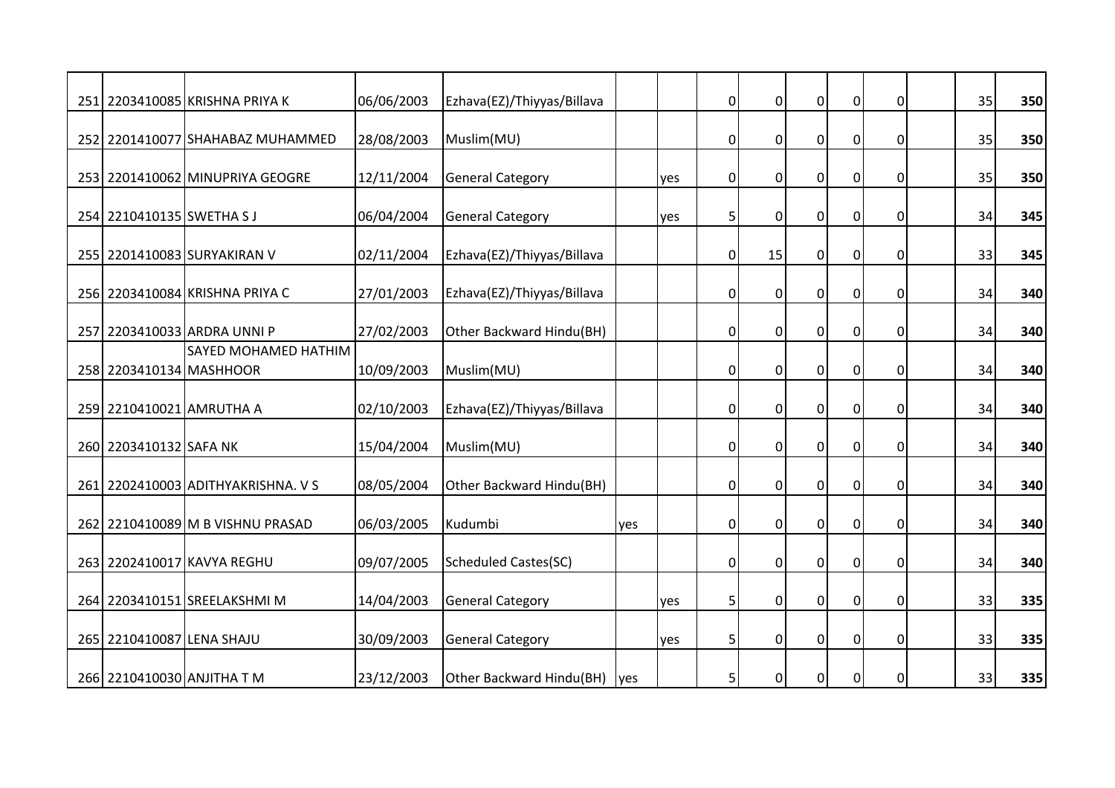|                            | 251 2203410085 KRISHNA PRIYA K     | 06/06/2003 | Ezhava(EZ)/Thiyyas/Billava  |            |     | $\overline{0}$ | $\overline{0}$ | $\overline{0}$ | $\mathbf 0$    | $\mathbf 0$ | 35 | 350 |
|----------------------------|------------------------------------|------------|-----------------------------|------------|-----|----------------|----------------|----------------|----------------|-------------|----|-----|
|                            | 252 2201410077 SHAHABAZ MUHAMMED   | 28/08/2003 | Muslim(MU)                  |            |     | 0              | $\mathbf 0$    | $\overline{0}$ | $\overline{0}$ | $\mathbf 0$ | 35 | 350 |
|                            | 253 2201410062 MINUPRIYA GEOGRE    | 12/11/2004 | <b>General Category</b>     |            | yes | $\overline{0}$ | $\mathbf 0$    | $\overline{0}$ | $\mathbf 0$    | 0           | 35 | 350 |
| 254 2210410135 SWETHA SJ   |                                    | 06/04/2004 | <b>General Category</b>     |            | yes | 5              | $\mathbf 0$    | $\mathbf 0$    | $\overline{0}$ | 0           | 34 | 345 |
|                            | 255 2201410083 SURYAKIRAN V        | 02/11/2004 | Ezhava(EZ)/Thiyyas/Billava  |            |     | 0              | 15             | $\mathbf 0$    | $\pmb{0}$      | 0           | 33 | 345 |
|                            | 256 2203410084 KRISHNA PRIYA C     | 27/01/2003 | Ezhava(EZ)/Thiyyas/Billava  |            |     | 0              | $\mathbf 0$    | $\mathbf 0$    | $\pmb{0}$      | 0           | 34 | 340 |
|                            | 257 2203410033 ARDRA UNNI P        | 27/02/2003 | Other Backward Hindu(BH)    |            |     | 0              | $\mathbf{0}$   | $\overline{0}$ | $\overline{0}$ | $\mathbf 0$ | 34 | 340 |
| 258 2203410134 MASHHOOR    | SAYED MOHAMED HATHIM               | 10/09/2003 | Muslim(MU)                  |            |     | $\overline{0}$ | $\overline{0}$ | $\overline{0}$ | $\overline{0}$ | $\mathbf 0$ | 34 | 340 |
| 259 2210410021 AMRUTHA A   |                                    | 02/10/2003 | Ezhava(EZ)/Thiyyas/Billava  |            |     | $\overline{0}$ | $\mathbf{0}$   | $\overline{0}$ | $\mathbf 0$    | $\mathbf 0$ | 34 | 340 |
| 260 2203410132 SAFA NK     |                                    | 15/04/2004 | Muslim(MU)                  |            |     | $\overline{0}$ | $\mathbf 0$    | $\overline{0}$ | $\overline{0}$ | 0           | 34 | 340 |
|                            | 261 2202410003 ADITHYAKRISHNA. V S | 08/05/2004 | Other Backward Hindu(BH)    |            |     | $\overline{0}$ | $\overline{0}$ | $\overline{0}$ | $\overline{0}$ | 0           | 34 | 340 |
|                            | 262 2210410089 M B VISHNU PRASAD   | 06/03/2005 | Kudumbi                     | yes        |     | 0              | $\mathbf 0$    | $\mathbf 0$    | $\overline{0}$ | 0           | 34 | 340 |
|                            | 263 2202410017 KAVYA REGHU         | 09/07/2005 | <b>Scheduled Castes(SC)</b> |            |     | $\overline{0}$ | $\mathbf 0$    | $\overline{0}$ | $\overline{0}$ | 0           | 34 | 340 |
|                            | 264 2203410151 SREELAKSHMI M       | 14/04/2003 | <b>General Category</b>     |            | yes | 5              | $\mathbf 0$    | $\mathbf 0$    | $\pmb{0}$      | 0           | 33 | 335 |
| 265 2210410087 LENA SHAJU  |                                    | 30/09/2003 | <b>General Category</b>     |            | yes | 5              | $\mathbf 0$    | $\overline{0}$ | $\mathbf 0$    | 0           | 33 | 335 |
| 266 2210410030 ANJITHA T M |                                    | 23/12/2003 | Other Backward Hindu(BH)    | <b>yes</b> |     | 5              | $\Omega$       | $\Omega$       | $\mathbf 0$    | $\Omega$    | 33 | 335 |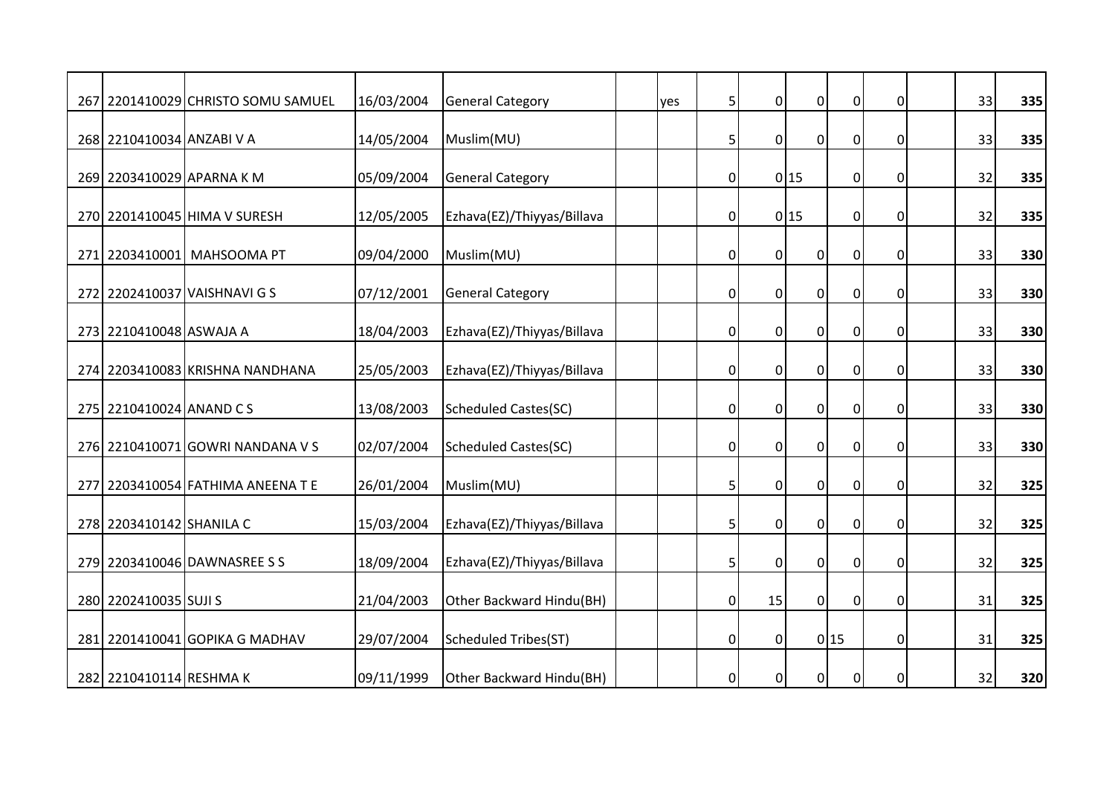|                           | 267 2201410029 CHRISTO SOMU SAMUEL | 16/03/2004 | <b>General Category</b>     | yes | 5              | $\mathbf 0$    | $\overline{0}$   | $\mathbf 0$    | 0           | 33 | 335 |
|---------------------------|------------------------------------|------------|-----------------------------|-----|----------------|----------------|------------------|----------------|-------------|----|-----|
|                           |                                    |            |                             |     |                |                |                  |                |             |    |     |
| 268 2210410034 ANZABI V A |                                    | 14/05/2004 | Muslim(MU)                  |     | 5              | $\overline{0}$ | $\overline{0}$   | $\overline{0}$ | $\mathbf 0$ | 33 | 335 |
|                           |                                    |            |                             |     |                |                |                  |                |             |    |     |
| 269 2203410029 APARNA K M |                                    | 05/09/2004 | <b>General Category</b>     |     | $\overline{0}$ |                | 0 15             | $\overline{0}$ | 0           | 32 | 335 |
|                           | 270 2201410045 HIMA V SURESH       | 12/05/2005 | Ezhava(EZ)/Thiyyas/Billava  |     | $\overline{0}$ |                | 0 15             | $\mathbf 0$    | 0           | 32 | 335 |
|                           |                                    |            |                             |     |                |                |                  |                | $\Omega$    | 33 |     |
|                           | 271 2203410001 MAHSOOMA PT         | 09/04/2000 | Muslim(MU)                  |     | 0              | $\mathbf 0$    | $\mathbf 0$      | $\pmb{0}$      |             |    | 330 |
|                           | 272 2202410037 VAISHNAVI G S       | 07/12/2001 | <b>General Category</b>     |     | $\overline{0}$ | $\mathbf 0$    | $\overline{0}$   | $\overline{0}$ | 0           | 33 | 330 |
|                           |                                    |            |                             |     |                |                |                  |                |             |    |     |
| 273 2210410048 ASWAJA A   |                                    | 18/04/2003 | Ezhava(EZ)/Thiyyas/Billava  |     | 0              | $\mathbf 0$    | $\overline{0}$   | $\overline{0}$ | 0           | 33 | 330 |
|                           | 274 2203410083 KRISHNA NANDHANA    | 25/05/2003 | Ezhava(EZ)/Thiyyas/Billava  |     | $\overline{0}$ | $\mathbf 0$    | $\overline{0}$   | $\pmb{0}$      | $\mathbf 0$ | 33 | 330 |
| 275 2210410024 ANAND CS   |                                    | 13/08/2003 | <b>Scheduled Castes(SC)</b> |     | $\overline{0}$ | $\overline{0}$ | $\Omega$         | $\mathbf 0$    | $\Omega$    | 33 | 330 |
|                           |                                    |            |                             |     |                |                |                  |                |             |    |     |
|                           | 276 2210410071 GOWRI NANDANA V S   | 02/07/2004 | Scheduled Castes(SC)        |     | $\overline{0}$ | $\mathbf 0$    | $\mathbf 0$      | $\overline{0}$ | 0           | 33 | 330 |
|                           | 277 2203410054 FATHIMA ANEENA T E  | 26/01/2004 | Muslim(MU)                  |     | 5              | $\mathbf 0$    | $\boldsymbol{0}$ | $\pmb{0}$      | 0           | 32 |     |
|                           |                                    |            |                             |     |                |                |                  |                |             |    | 325 |
| 278 2203410142 SHANILA C  |                                    | 15/03/2004 | Ezhava(EZ)/Thiyyas/Billava  |     | 5              | $\overline{0}$ | $\overline{0}$   | $\pmb{0}$      | 0           | 32 | 325 |
|                           |                                    |            |                             |     |                |                |                  |                |             |    |     |
|                           | 279 2203410046 DAWNASREE S S       | 18/09/2004 | Ezhava(EZ)/Thiyyas/Billava  |     | 5              | $\mathbf{0}$   | $\overline{0}$   | $\overline{0}$ | $\mathbf 0$ | 32 | 325 |
| 280 2202410035 SUJI S     |                                    | 21/04/2003 | Other Backward Hindu(BH)    |     | $\overline{0}$ | 15             | $\pmb{0}$        | $\overline{0}$ | $\mathbf 0$ | 31 | 325 |
|                           | 281 2201410041 GOPIKA G MADHAV     | 29/07/2004 | <b>Scheduled Tribes(ST)</b> |     | $\overline{0}$ | $\mathbf 0$    |                  | 0 15           | 0           | 31 | 325 |
|                           |                                    |            |                             |     |                |                |                  |                |             |    |     |
| 282 2210410114 RESHMA K   |                                    | 09/11/1999 | Other Backward Hindu(BH)    |     | $\overline{0}$ | $\mathbf 0$    | $\overline{0}$   | $\overline{0}$ | $\mathbf 0$ | 32 | 320 |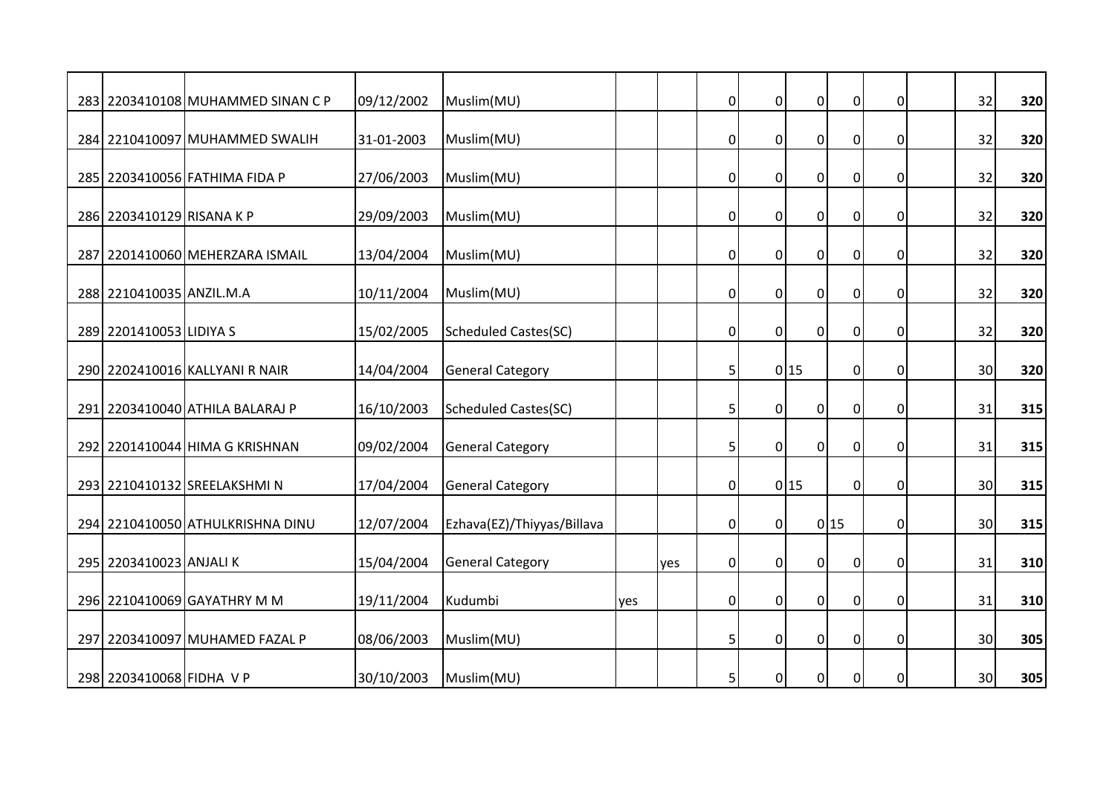|                           | 283 2203410108 MUHAMMED SINAN C P | 09/12/2002 | Muslim(MU)                  |     |     | $\overline{0}$ | $\mathbf 0$    | $\overline{0}$   | $\mathbf 0$    | 0                | 32              | 320 |
|---------------------------|-----------------------------------|------------|-----------------------------|-----|-----|----------------|----------------|------------------|----------------|------------------|-----------------|-----|
|                           | 284 2210410097 MUHAMMED SWALIH    | 31-01-2003 | Muslim(MU)                  |     |     | $\overline{0}$ | $\overline{0}$ | $\overline{0}$   | $\overline{0}$ | $\mathbf 0$      | 32              | 320 |
|                           | 285 2203410056 FATHIMA FIDA P     | 27/06/2003 | Muslim(MU)                  |     |     | $\overline{0}$ | $\mathbf 0$    | $\overline{0}$   | $\overline{0}$ | 0                | 32              | 320 |
| 286 2203410129 RISANA K P |                                   | 29/09/2003 | Muslim(MU)                  |     |     | $\overline{0}$ | $\mathbf 0$    | $\overline{0}$   | $\mathbf 0$    | $\mathbf 0$      | 32              | 320 |
|                           | 287 2201410060 MEHERZARA ISMAIL   | 13/04/2004 | Muslim(MU)                  |     |     | 0              | $\mathbf 0$    | $\mathbf 0$      | $\pmb{0}$      | $\Omega$         | 32              | 320 |
|                           |                                   |            |                             |     |     |                |                |                  |                |                  |                 |     |
| 288 2210410035 ANZIL.M.A  |                                   | 10/11/2004 | Muslim(MU)                  |     |     | $\overline{0}$ | $\mathbf 0$    | $\overline{0}$   | $\overline{0}$ | 0                | 32              | 320 |
| 289 2201410053 LIDIYA S   |                                   | 15/02/2005 | <b>Scheduled Castes(SC)</b> |     |     | $\overline{0}$ | $\mathbf 0$    | $\overline{0}$   | $\mathbf 0$    | 0                | 32              | 320 |
|                           | 290 2202410016 KALLYANI R NAIR    | 14/04/2004 | <b>General Category</b>     |     |     | 5              |                | 0 15             | $\overline{0}$ | $\mathbf 0$      | 30 <sup>1</sup> | 320 |
|                           | 291 2203410040 ATHILA BALARAJ P   | 16/10/2003 | <b>Scheduled Castes(SC)</b> |     |     | 5              | $\overline{0}$ | $\Omega$         | $\mathbf 0$    | $\Omega$         | 31              | 315 |
|                           | 292 2201410044 HIMA G KRISHNAN    | 09/02/2004 | <b>General Category</b>     |     |     | 5              | $\mathbf 0$    | $\overline{0}$   | $\overline{0}$ | 0                | 31              | 315 |
|                           | 293 2210410132 SREELAKSHMI N      | 17/04/2004 | <b>General Category</b>     |     |     | 0              |                | 0 15             | $\overline{0}$ | $\boldsymbol{0}$ | 30              | 315 |
|                           | 294 2210410050 ATHULKRISHNA DINU  | 12/07/2004 | Ezhava(EZ)/Thiyyas/Billava  |     |     | $\overline{0}$ | $\overline{0}$ |                  | 0 15           | $\mathbf 0$      | 30 <sup>1</sup> | 315 |
|                           |                                   |            |                             |     |     |                |                |                  |                |                  |                 |     |
| 295 2203410023 ANJALI K   |                                   | 15/04/2004 | <b>General Category</b>     |     | yes | $\overline{0}$ | $\overline{0}$ | $\overline{0}$   | $\overline{0}$ | $\mathbf 0$      | 31              | 310 |
|                           | 296 2210410069 GAYATHRY M M       | 19/11/2004 | Kudumbi                     | yes |     | $\overline{0}$ | $\mathbf 0$    | $\pmb{0}$        | $\overline{0}$ | $\mathbf 0$      | 31              | 310 |
|                           | 297 2203410097 MUHAMED FAZAL P    | 08/06/2003 | Muslim(MU)                  |     |     | 5              | $\mathbf 0$    | $\mathbf 0$      | $\mathbf 0$    | 0                | 30              | 305 |
| 298 2203410068 FIDHA V P  |                                   | 30/10/2003 | Muslim(MU)                  |     |     | 5              | $\overline{0}$ | $\boldsymbol{0}$ | $\mathbf 0$    | $\mathbf 0$      | 30 <sup>1</sup> | 305 |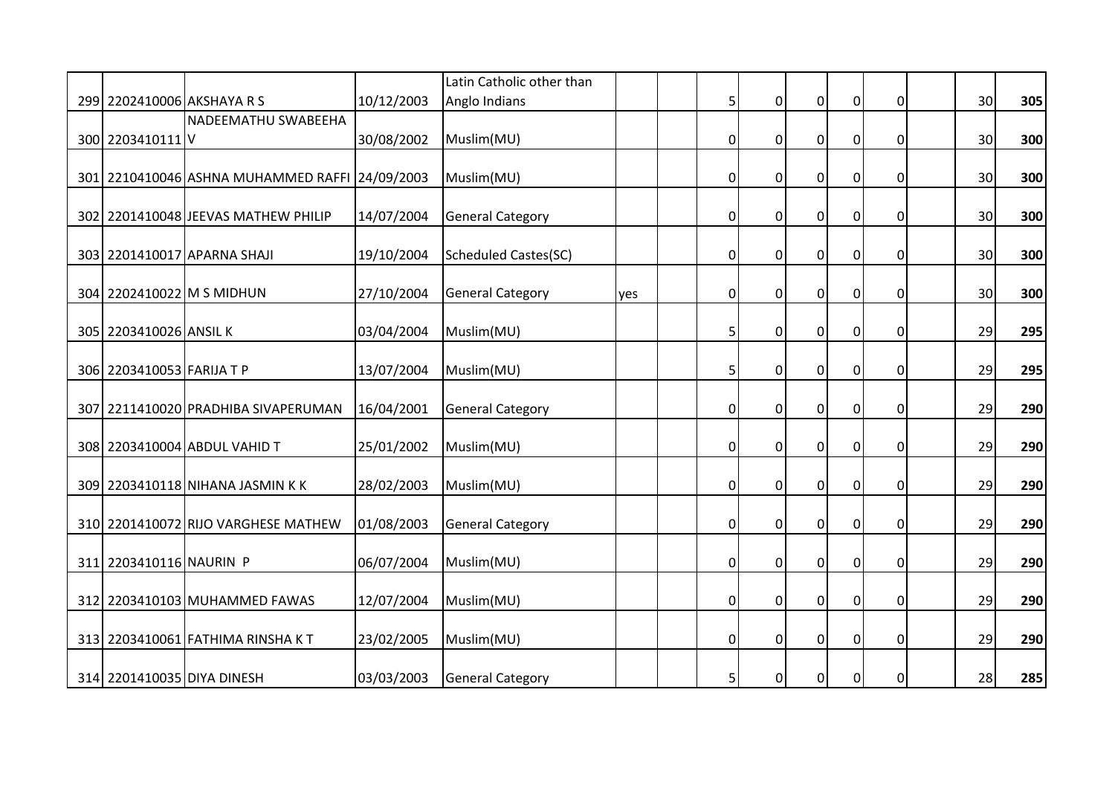|                            |                                                |            | Latin Catholic other than   |     |                |                  |                |                |             |                 |     |
|----------------------------|------------------------------------------------|------------|-----------------------------|-----|----------------|------------------|----------------|----------------|-------------|-----------------|-----|
|                            | 299 2202410006 AKSHAYA R S                     | 10/12/2003 | Anglo Indians               |     | 5              | $\mathbf 0$      | $\overline{0}$ | $\pmb{0}$      | $\Omega$    | 30              | 305 |
| 300 2203410111 V           | NADEEMATHU SWABEEHA                            | 30/08/2002 | Muslim(MU)                  |     | $\overline{0}$ | $\mathbf 0$      | $\mathbf 0$    | $\overline{0}$ | $\mathbf 0$ | 30              | 300 |
|                            | 301 2210410046 ASHNA MUHAMMED RAFFI 24/09/2003 |            | Muslim(MU)                  |     | $\overline{0}$ | $\mathbf 0$      | $\overline{0}$ | $\mathbf 0$    | 0           | 30              | 300 |
|                            | 302 2201410048 JEEVAS MATHEW PHILIP            | 14/07/2004 | <b>General Category</b>     |     | $\mathbf 0$    | $\mathbf 0$      | $\mathbf 0$    | $\pmb{0}$      | 0           | 30              | 300 |
|                            | 303 2201410017 APARNA SHAJI                    | 19/10/2004 | <b>Scheduled Castes(SC)</b> |     | $\mathbf 0$    | $\mathbf 0$      | $\mathbf 0$    | $\pmb{0}$      | $\mathbf 0$ | 30 <sup>1</sup> | 300 |
|                            | 304 2202410022 M S MIDHUN                      | 27/10/2004 | <b>General Category</b>     | yes | $\overline{0}$ | $\mathbf 0$      | $\overline{0}$ | $\overline{0}$ | 0           | 30              | 300 |
| 305 2203410026 ANSIL K     |                                                | 03/04/2004 | Muslim(MU)                  |     | 5              | $\mathbf 0$      | $\mathbf 0$    | $\overline{0}$ | 0           | 29              | 295 |
| 306 2203410053 FARIJA T P  |                                                | 13/07/2004 | Muslim(MU)                  |     | $\overline{5}$ | $\boldsymbol{0}$ | $\overline{0}$ | $\pmb{0}$      | $\mathbf 0$ | 29              | 295 |
|                            | 307 2211410020 PRADHIBA SIVAPERUMAN            | 16/04/2001 | <b>General Category</b>     |     | $\overline{0}$ | $\mathbf 0$      | $\overline{0}$ | $\pmb{0}$      | 0           | 29              | 290 |
|                            | 308 2203410004 ABDUL VAHID T                   | 25/01/2002 | Muslim(MU)                  |     | $\mathbf 0$    | $\mathbf 0$      | $\overline{0}$ | $\overline{0}$ | 0           | 29              | 290 |
|                            | 309 2203410118 NIHANA JASMIN KK                | 28/02/2003 | Muslim(MU)                  |     | $\overline{0}$ | $\mathbf 0$      | $\pmb{0}$      | $\overline{0}$ | 0           | 29              | 290 |
|                            | 310 2201410072 RIJO VARGHESE MATHEW            | 01/08/2003 | <b>General Category</b>     |     | $\overline{0}$ | $\mathbf 0$      | $\mathbf 0$    | $\pmb{0}$      | 0           | 29              | 290 |
| 311 2203410116 NAURIN P    |                                                | 06/07/2004 | Muslim(MU)                  |     | $\mathbf 0$    | 0                | $\mathbf 0$    | $\overline{0}$ | 0           | 29              | 290 |
|                            | 312 2203410103 MUHAMMED FAWAS                  | 12/07/2004 | Muslim(MU)                  |     | $\overline{0}$ | $\mathbf 0$      | $\overline{0}$ | $\overline{0}$ | $\mathbf 0$ | 29              | 290 |
|                            | 313 2203410061 FATHIMA RINSHA KT               | 23/02/2005 | Muslim(MU)                  |     | $\overline{0}$ | $\mathbf 0$      | $\mathbf 0$    | $\mathbf 0$    | $\mathbf 0$ | 29              | 290 |
| 314 2201410035 DIYA DINESH |                                                | 03/03/2003 | <b>General Category</b>     |     | 5              | 0                | $\overline{0}$ | $\overline{0}$ | 0           | 28              | 285 |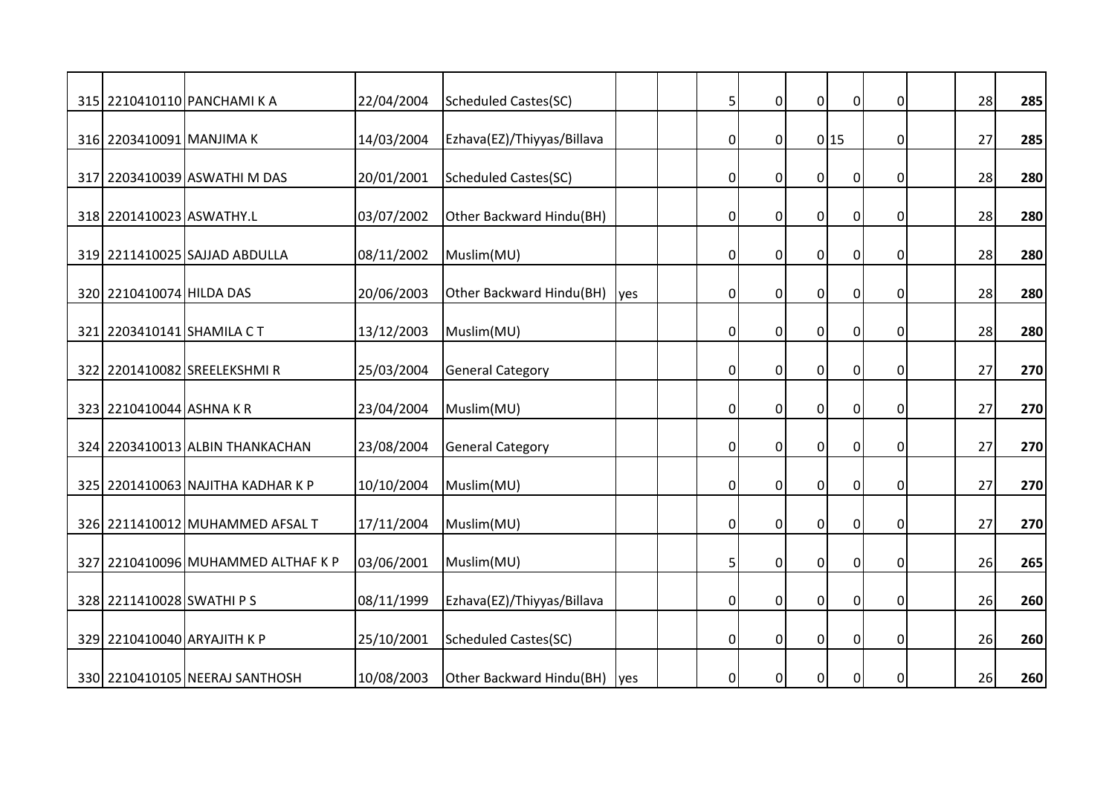|                           | 315 2210410110 PANCHAMI K A        | 22/04/2004 | <b>Scheduled Castes(SC)</b> |            | 5              | $\mathbf 0$    | $\overline{0}$   | $\mathbf 0$    | $\Omega$    | 28 | 285 |
|---------------------------|------------------------------------|------------|-----------------------------|------------|----------------|----------------|------------------|----------------|-------------|----|-----|
|                           |                                    |            |                             |            |                |                |                  |                |             |    |     |
| 316 2203410091 MANJIMA K  |                                    | 14/03/2004 | Ezhava(EZ)/Thiyyas/Billava  |            | 0              | $\mathbf 0$    |                  | 0 15           | $\mathbf 0$ | 27 | 285 |
|                           | 317 2203410039 ASWATHI M DAS       | 20/01/2001 | <b>Scheduled Castes(SC)</b> |            | 0              | $\mathbf 0$    | $\boldsymbol{0}$ | $\overline{0}$ | 0           | 28 | 280 |
| 318 2201410023 ASWATHY.L  |                                    | 03/07/2002 | Other Backward Hindu(BH)    |            | 0              | $\mathbf 0$    | $\overline{0}$   | $\pmb{0}$      | 0           | 28 | 280 |
|                           | 319 2211410025 SAJJAD ABDULLA      | 08/11/2002 | Muslim(MU)                  |            | 0              | $\mathbf 0$    | $\overline{0}$   | $\pmb{0}$      | $\mathbf 0$ | 28 | 280 |
| 320 2210410074 HILDA DAS  |                                    | 20/06/2003 | Other Backward Hindu(BH)    | <b>yes</b> | $\overline{0}$ | $\overline{0}$ | $\mathbf 0$      | $\overline{0}$ | 0           | 28 | 280 |
| 321 2203410141 SHAMILA CT |                                    | 13/12/2003 | Muslim(MU)                  |            | $\overline{0}$ | $\mathbf 0$    | $\overline{0}$   | $\overline{0}$ | 0           | 28 | 280 |
|                           | 322 2201410082 SREELEKSHMIR        | 25/03/2004 | <b>General Category</b>     |            | 0              | $\mathbf 0$    | $\boldsymbol{0}$ | $\pmb{0}$      | 0           | 27 | 270 |
| 323 2210410044 ASHNA KR   |                                    | 23/04/2004 | Muslim(MU)                  |            | $\overline{0}$ | $\overline{0}$ | $\overline{0}$   | $\pmb{0}$      | 0           | 27 | 270 |
|                           | 324 2203410013 ALBIN THANKACHAN    | 23/08/2004 | <b>General Category</b>     |            | 0              | $\mathbf{0}$   | $\overline{0}$   | $\overline{0}$ | $\mathbf 0$ | 27 | 270 |
|                           | 325 2201410063 NAJITHA KADHAR K P  | 10/10/2004 | Muslim(MU)                  |            | $\overline{0}$ | $\mathbf 0$    | $\boldsymbol{0}$ | $\overline{0}$ | 0           | 27 | 270 |
|                           | 326 2211410012 MUHAMMED AFSAL T    | 17/11/2004 | Muslim(MU)                  |            | $\overline{0}$ | $\mathbf{0}$   | $\overline{0}$   | $\mathbf 0$    | $\mathbf 0$ | 27 | 270 |
|                           | 327 2210410096 MUHAMMED ALTHAF K P | 03/06/2001 | Muslim(MU)                  |            | 5              | $\mathbf 0$    | $\mathbf 0$      | $\mathbf 0$    | 0           | 26 | 265 |
| 328 2211410028 SWATHI PS  |                                    | 08/11/1999 | Ezhava(EZ)/Thiyyas/Billava  |            | $\overline{0}$ | $\overline{0}$ | $\overline{0}$   | $\overline{0}$ | $\mathbf 0$ | 26 | 260 |
|                           | 329 2210410040 ARYAJITH K P        | 25/10/2001 | <b>Scheduled Castes(SC)</b> |            | $\overline{0}$ | $\mathbf{0}$   | $\overline{0}$   | $\mathbf 0$    | $\mathbf 0$ | 26 | 260 |
|                           | 330 2210410105 NEERAJ SANTHOSH     | 10/08/2003 | Other Backward Hindu(BH)    | yes        | $\overline{0}$ | 0              | $\mathbf 0$      | $\mathbf 0$    | 0           | 26 | 260 |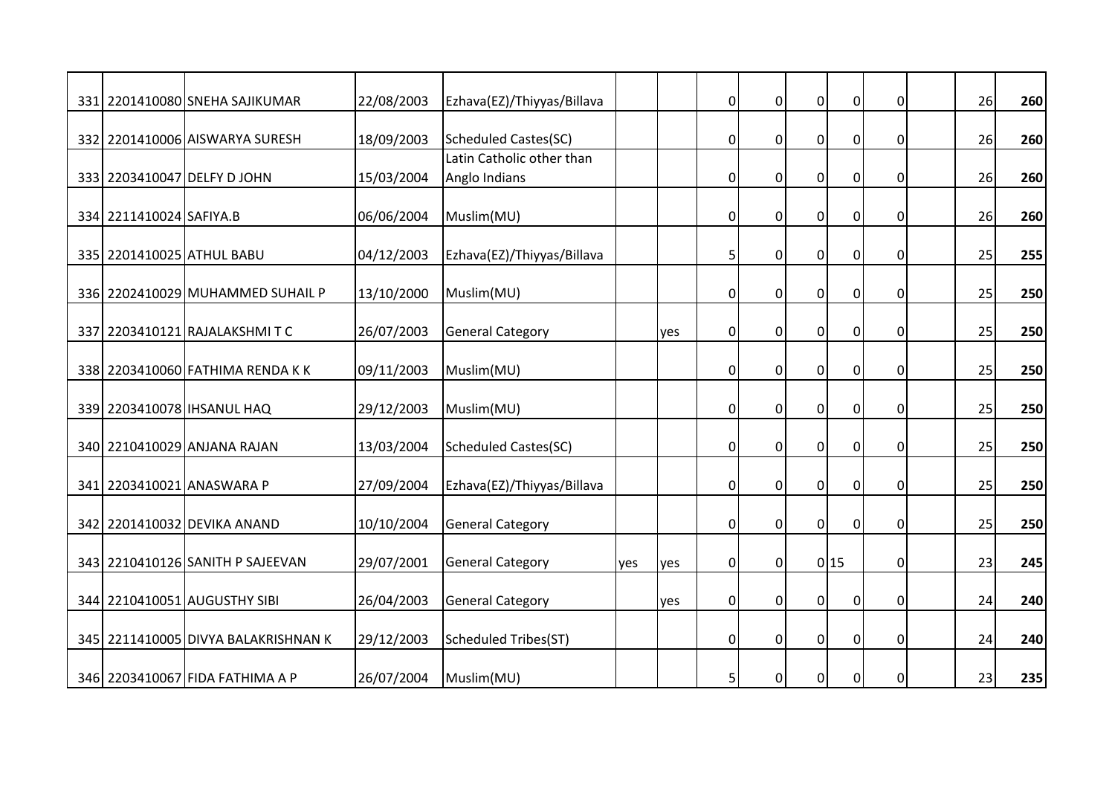|                           | 331 2201410080 SNEHA SAJIKUMAR      | 22/08/2003 | Ezhava(EZ)/Thiyyas/Billava  |     |     | $\overline{0}$ | $\mathbf 0$    | $\overline{0}$   | $\pmb{0}$        | 0           | 26 | 260 |
|---------------------------|-------------------------------------|------------|-----------------------------|-----|-----|----------------|----------------|------------------|------------------|-------------|----|-----|
|                           | 332 2201410006 AISWARYA SURESH      | 18/09/2003 | <b>Scheduled Castes(SC)</b> |     |     | 0              | $\mathbf 0$    | $\overline{0}$   | $\overline{0}$   | $\mathbf 0$ | 26 | 260 |
|                           |                                     |            | Latin Catholic other than   |     |     |                |                |                  |                  |             |    |     |
|                           | 333 2203410047 DELFY D JOHN         | 15/03/2004 | Anglo Indians               |     |     | 0              | $\mathbf 0$    | $\overline{0}$   | $\pmb{0}$        | 0           | 26 | 260 |
| 334 2211410024 SAFIYA.B   |                                     | 06/06/2004 | Muslim(MU)                  |     |     | $\overline{0}$ | $\mathbf 0$    | $\overline{0}$   | $\mathbf 0$      | 0           | 26 | 260 |
| 335 2201410025 ATHUL BABU |                                     | 04/12/2003 | Ezhava(EZ)/Thiyyas/Billava  |     |     | 5              | $\mathbf 0$    | $\mathbf 0$      | $\pmb{0}$        | $\Omega$    | 25 | 255 |
|                           | 336 2202410029 MUHAMMED SUHAIL P    | 13/10/2000 | Muslim(MU)                  |     |     | 0              | $\mathbf 0$    | $\overline{0}$   | $\mathbf 0$      | 0           | 25 | 250 |
|                           | 337 2203410121 RAJALAKSHMITC        | 26/07/2003 | <b>General Category</b>     |     | yes | $\overline{0}$ | $\mathbf 0$    | $\overline{0}$   | $\mathbf 0$      | 0           | 25 | 250 |
|                           | 338 2203410060 FATHIMA RENDA K K    | 09/11/2003 | Muslim(MU)                  |     |     | $\overline{0}$ | $\mathbf 0$    | $\overline{0}$   | $\pmb{0}$        | $\mathbf 0$ | 25 | 250 |
|                           | 339 2203410078   IHSANUL HAQ        | 29/12/2003 | Muslim(MU)                  |     |     | $\overline{0}$ | $\overline{0}$ | $\Omega$         | $\mathbf 0$      | $\Omega$    | 25 | 250 |
|                           | 340 2210410029 ANJANA RAJAN         | 13/03/2004 | <b>Scheduled Castes(SC)</b> |     |     | $\overline{0}$ | $\mathbf 0$    | $\mathbf 0$      | $\overline{0}$   | 0           | 25 | 250 |
|                           | 341 2203410021 ANASWARA P           | 27/09/2004 | Ezhava(EZ)/Thiyyas/Billava  |     |     | 0              | $\mathbf 0$    | $\boldsymbol{0}$ | $\pmb{0}$        | 0           | 25 | 250 |
|                           | 342 2201410032 DEVIKA ANAND         | 10/10/2004 | <b>General Category</b>     |     |     | $\overline{0}$ | $\overline{0}$ | $\overline{0}$   | $\mathbf 0$      | $\mathbf 0$ | 25 | 250 |
|                           | 343 2210410126 SANITH P SAJEEVAN    | 29/07/2001 | <b>General Category</b>     | yes | yes | $\overline{0}$ | $\overline{0}$ |                  | 0 15             | 0           | 23 | 245 |
|                           | 344 2210410051 AUGUSTHY SIBI        | 26/04/2003 | <b>General Category</b>     |     | yes | $\overline{0}$ | $\mathbf 0$    | $\pmb{0}$        | $\boldsymbol{0}$ | 0           | 24 | 240 |
|                           | 345 2211410005 DIVYA BALAKRISHNAN K | 29/12/2003 | <b>Scheduled Tribes(ST)</b> |     |     | 0              | $\mathbf 0$    | $\mathbf 0$      | $\mathbf 0$      | 0           | 24 | 240 |
|                           | 346 2203410067 FIDA FATHIMA A P     | 26/07/2004 | Muslim(MU)                  |     |     | 5              | $\mathbf 0$    | $\overline{0}$   | $\mathbf 0$      | $\mathbf 0$ | 23 | 235 |